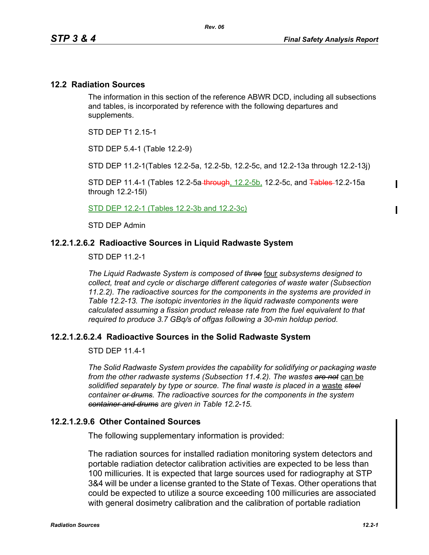$\mathbf I$ 

#### **12.2 Radiation Sources**

The information in this section of the reference ABWR DCD, including all subsections and tables, is incorporated by reference with the following departures and supplements.

STD DEP T1 2.15-1

STD DEP 5.4-1 (Table 12.2-9)

STD DEP 11.2-1(Tables 12.2-5a, 12.2-5b, 12.2-5c, and 12.2-13a through 12.2-13j)

STD DEP 11.4-1 (Tables 12.2-5a through, 12.2-5b, 12.2-5c, and Tables-12.2-15a through 12.2-15l)

STD DEP 12.2-1 (Tables 12.2-3b and 12.2-3c)

STD DEP Admin

#### **12.2.1.2.6.2 Radioactive Sources in Liquid Radwaste System**

STD DEP 11.2-1

*The Liquid Radwaste System is composed of three* four *subsystems designed to collect, treat and cycle or discharge different categories of waste water (Subsection 11.2.2). The radioactive sources for the components in the systems are provided in Table 12.2-13. The isotopic inventories in the liquid radwaste components were calculated assuming a fission product release rate from the fuel equivalent to that required to produce 3.7 GBq/s of offgas following a 30-min holdup period.* 

### **12.2.1.2.6.2.4 Radioactive Sources in the Solid Radwaste System**

STD DEP 11.4-1

*The Solid Radwaste System provides the capability for solidifying or packaging waste from the other radwaste systems (Subsection 11.4.2). The wastes are not* can be *solidified separately by type or source. The final waste is placed in a* waste *steel container or drums. The radioactive sources for the components in the system container and drums are given in Table 12.2-15.*

### **12.2.1.2.9.6 Other Contained Sources**

The following supplementary information is provided:

The radiation sources for installed radiation monitoring system detectors and portable radiation detector calibration activities are expected to be less than 100 millicuries. It is expected that large sources used for radiography at STP 3&4 will be under a license granted to the State of Texas. Other operations that could be expected to utilize a source exceeding 100 millicuries are associated with general dosimetry calibration and the calibration of portable radiation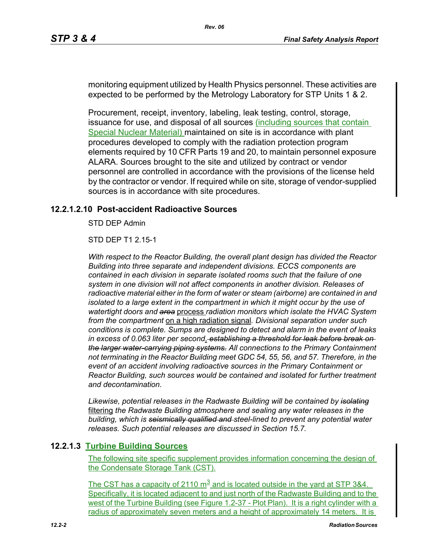monitoring equipment utilized by Health Physics personnel. These activities are expected to be performed by the Metrology Laboratory for STP Units 1 & 2.

Procurement, receipt, inventory, labeling, leak testing, control, storage, issuance for use, and disposal of all sources (including sources that contain Special Nuclear Material) maintained on site is in accordance with plant procedures developed to comply with the radiation protection program elements required by 10 CFR Parts 19 and 20, to maintain personnel exposure ALARA. Sources brought to the site and utilized by contract or vendor personnel are controlled in accordance with the provisions of the license held by the contractor or vendor. If required while on site, storage of vendor-supplied sources is in accordance with site procedures.

# **12.2.1.2.10 Post-accident Radioactive Sources**

STD DEP Admin

STD DEP T1 2.15-1

*With respect to the Reactor Building, the overall plant design has divided the Reactor Building into three separate and independent divisions. ECCS components are contained in each division in separate isolated rooms such that the failure of one system in one division will not affect components in another division. Releases of radioactive material either in the form of water or steam (airborne) are contained in and isolated to a large extent in the compartment in which it might occur by the use of watertight doors and area* process *radiation monitors which isolate the HVAC System from the compartment* on a high radiation signal*. Divisional separation under such conditions is complete. Sumps are designed to detect and alarm in the event of leaks in excess of 0.063 liter per second*. *establishing a threshold for leak before break on the larger water-carrying piping systems. All connections to the Primary Containment not terminating in the Reactor Building meet GDC 54, 55, 56, and 57. Therefore, in the event of an accident involving radioactive sources in the Primary Containment or Reactor Building, such sources would be contained and isolated for further treatment and decontamination.*

*Likewise, potential releases in the Radwaste Building will be contained by isolating* filtering *the Radwaste Building atmosphere and sealing any water releases in the building, which is seismically qualified and steel-lined to prevent any potential water releases. Such potential releases are discussed in Section 15.7.* 

### **12.2.1.3 Turbine Building Sources**

The following site specific supplement provides information concerning the design of the Condensate Storage Tank (CST).

The CST has a capacity of 2110  $\text{m}^3$  and is located outside in the yard at STP 3&4. Specifically, it is located adjacent to and just north of the Radwaste Building and to the west of the Turbine Building (see Figure 1.2-37 - Plot Plan). It is a right cylinder with a radius of approximately seven meters and a height of approximately 14 meters. It is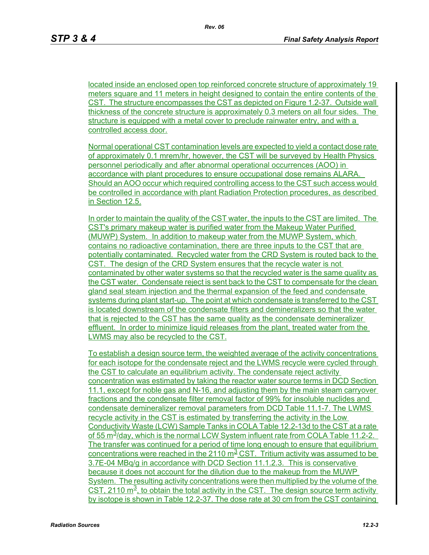located inside an enclosed open top reinforced concrete structure of approximately 19 meters square and 11 meters in height designed to contain the entire contents of the CST. The structure encompasses the CST as depicted on Figure 1.2-37. Outside wall thickness of the concrete structure is approximately 0.3 meters on all four sides. The structure is equipped with a metal cover to preclude rainwater entry, and with a controlled access door.

Normal operational CST contamination levels are expected to yield a contact dose rate of approximately 0.1 mrem/hr, however, the CST will be surveyed by Health Physics personnel periodically and after abnormal operational occurrences (AOO) in accordance with plant procedures to ensure occupational dose remains ALARA. Should an AOO occur which required controlling access to the CST such access would be controlled in accordance with plant Radiation Protection procedures, as described in Section 12.5.

In order to maintain the quality of the CST water, the inputs to the CST are limited. The CST's primary makeup water is purified water from the Makeup Water Purified (MUWP) System. In addition to makeup water from the MUWP System, which contains no radioactive contamination, there are three inputs to the CST that are potentially contaminated. Recycled water from the CRD System is routed back to the CST. The design of the CRD System ensures that the recycle water is not contaminated by other water systems so that the recycled water is the same quality as the CST water. Condensate reject is sent back to the CST to compensate for the clean gland seal steam injection and the thermal expansion of the feed and condensate systems during plant start-up. The point at which condensate is transferred to the CST is located downstream of the condensate filters and demineralizers so that the water that is rejected to the CST has the same quality as the condensate demineralizer effluent. In order to minimize liquid releases from the plant, treated water from the LWMS may also be recycled to the CST.

To establish a design source term, the weighted average of the activity concentrations for each isotope for the condensate reject and the LWMS recycle were cycled through the CST to calculate an equilibrium activity. The condensate reject activity concentration was estimated by taking the reactor water source terms in DCD Section 11.1, except for noble gas and N-16, and adjusting them by the main steam carryover fractions and the condensate filter removal factor of 99% for insoluble nuclides and condensate demineralizer removal parameters from DCD Table 11.1-7. The LWMS recycle activity in the CST is estimated by transferring the activity in the Low Conductivity Waste (LCW) Sample Tanks in COLA Table 12.2-13d to the CST at a rate of 55 m<sup>3</sup>/day, which is the normal LCW System influent rate from COLA Table 11.2-2. The transfer was continued for a period of time long enough to ensure that equilibrium concentrations were reached in the 2110  $\text{m}^2$  CST. Tritium activity was assumed to be 3.7E-04 MBq/g in accordance with DCD Section 11.1.2.3. This is conservative because it does not account for the dilution due to the makeup from the MUWP System. The resulting activity concentrations were then multiplied by the volume of the CST, 2110  $\text{m}^3$ , to obtain the total activity in the CST. The design source term activity by isotope is shown in Table 12.2-37. The dose rate at 30 cm from the CST containing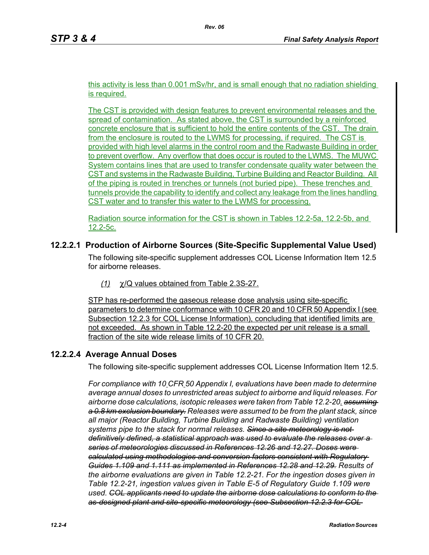this activity is less than 0.001 mSv/hr, and is small enough that no radiation shielding is required.

The CST is provided with design features to prevent environmental releases and the spread of contamination. As stated above, the CST is surrounded by a reinforced concrete enclosure that is sufficient to hold the entire contents of the CST. The drain from the enclosure is routed to the LWMS for processing, if required. The CST is provided with high level alarms in the control room and the Radwaste Building in order to prevent overflow. Any overflow that does occur is routed to the LWMS. The MUWC System contains lines that are used to transfer condensate quality water between the CST and systems in the Radwaste Building, Turbine Building and Reactor Building. All of the piping is routed in trenches or tunnels (not buried pipe). These trenches and tunnels provide the capability to identify and collect any leakage from the lines handling CST water and to transfer this water to the LWMS for processing.

Radiation source information for the CST is shown in Tables 12.2-5a, 12.2-5b, and 12.2-5c.

# **12.2.2.1 Production of Airborne Sources (Site-Specific Supplemental Value Used)**

The following site-specific supplement addresses COL License Information Item 12.5 for airborne releases.

*(1)* χ/Q values obtained from Table 2.3S-27.

STP has re-performed the gaseous release dose analysis using site-specific parameters to determine conformance with 10 CFR 20 and 10 CFR 50 Appendix I (see Subsection 12.2.3 for COL License Information), concluding that identified limits are not exceeded. As shown in Table 12.2-20 the expected per unit release is a small fraction of the site wide release limits of 10 CFR 20.

# **12.2.2.4 Average Annual Doses**

The following site-specific supplement addresses COL License Information Item 12.5.

*For compliance with 10 CFR 50 Appendix I, evaluations have been made to determine average annual doses to unrestricted areas subject to airborne and liquid releases. For airborne dose calculations, isotopic releases were taken from Table 12.2-20. assuming a 0.8 km exclusion boundary. Releases were assumed to be from the plant stack, since all major (Reactor Building, Turbine Building and Radwaste Building) ventilation systems pipe to the stack for normal releases. Since a site meteorology is not definitively defined, a statistical approach was used to evaluate the releases over a series of meteorologies discussed in References 12.26 and 12.27. Doses were calculated using methodologies and conversion factors consistent with Regulatory Guides 1.109 and 1.111 as implemented in References 12.28 and 12.29. Results of the airborne evaluations are given in Table 12.2-21. For the ingestion doses given in Table 12.2-21, ingestion values given in Table E-5 of Regulatory Guide 1.109 were used. COL applicants need to update the airborne dose calculations to conform to the as-designed plant and site-specific meteorology (see Subsection 12.2.3 for COL*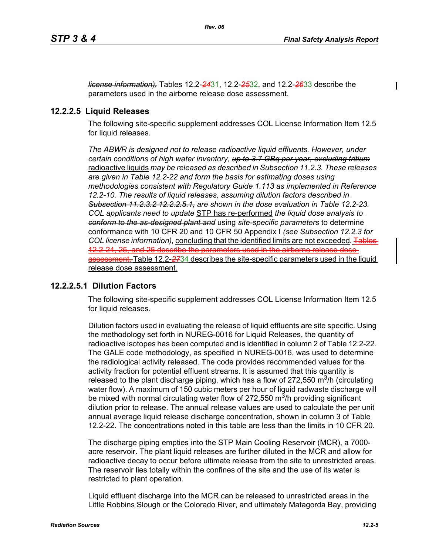*license information).* Tables 12.2-*24*31, 12.2-*25*32, and 12.2-*26*33 describe the parameters used in the airborne release dose assessment.

#### **12.2.2.5 Liquid Releases**

The following site-specific supplement addresses COL License Information Item 12.5 for liquid releases.

*The ABWR is designed not to release radioactive liquid effluents. However, under certain conditions of high water inventory, up to 3.7 GBq per year, excluding tritium* radioactive liquids *may be released as described in Subsection 11.2.3. These releases are given in Table 12.2-22 and form the basis for estimating doses using methodologies consistent with Regulatory Guide 1.113 as implemented in Reference 12.2-10. The results of liquid releases, assuming dilution factors described in Subsection 11.2.3.2 12.2.2.5.1, are shown in the dose evaluation in Table 12.2-23. COL applicants need to update* STP has re-performed *the liquid dose analysis to conform to the as-designed plant and* using *site-specific parameters* to determine conformance with 10 CFR 20 and 10 CFR 50 Appendix I *(see Subsection 12.2.3 for COL license information),* concluding that the identified limits are not exceeded*.* Tables 12.2-24, 25, and 26 describe the parameters used in the airborne release dose assessment. Table 12.2-*27*34 describes the site-specific parameters used in the liquid release dose assessment.

### **12.2.2.5.1 Dilution Factors**

The following site-specific supplement addresses COL License Information Item 12.5 for liquid releases.

Dilution factors used in evaluating the release of liquid effluents are site specific. Using the methodology set forth in NUREG-0016 for Liquid Releases, the quantity of radioactive isotopes has been computed and is identified in column 2 of Table 12.2-22. The GALE code methodology, as specified in NUREG-0016, was used to determine the radiological activity released. The code provides recommended values for the activity fraction for potential effluent streams. It is assumed that this quantity is released to the plant discharge piping, which has a flow of 272,550  $\mathrm{m}^3$ /h (circulating water flow). A maximum of 150 cubic meters per hour of liquid radwaste discharge will be mixed with normal circulating water flow of 272,550  $\mathrm{m}^3$ /h providing significant dilution prior to release. The annual release values are used to calculate the per unit annual average liquid release discharge concentration, shown in column 3 of Table 12.2-22. The concentrations noted in this table are less than the limits in 10 CFR 20.

The discharge piping empties into the STP Main Cooling Reservoir (MCR), a 7000 acre reservoir. The plant liquid releases are further diluted in the MCR and allow for radioactive decay to occur before ultimate release from the site to unrestricted areas. The reservoir lies totally within the confines of the site and the use of its water is restricted to plant operation.

Liquid effluent discharge into the MCR can be released to unrestricted areas in the Little Robbins Slough or the Colorado River, and ultimately Matagorda Bay, providing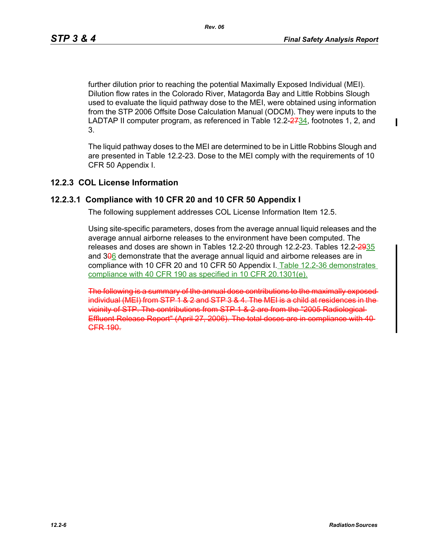further dilution prior to reaching the potential Maximally Exposed Individual (MEI). Dilution flow rates in the Colorado River, Matagorda Bay and Little Robbins Slough used to evaluate the liquid pathway dose to the MEI, were obtained using information from the STP 2006 Offsite Dose Calculation Manual (ODCM). They were inputs to the LADTAP II computer program, as referenced in Table 12.2-2-734, footnotes 1, 2, and 3.

The liquid pathway doses to the MEI are determined to be in Little Robbins Slough and are presented in Table 12.2-23. Dose to the MEI comply with the requirements of 10 CFR 50 Appendix I.

#### **12.2.3 COL License Information**

#### **12.2.3.1 Compliance with 10 CFR 20 and 10 CFR 50 Appendix I**

The following supplement addresses COL License Information Item 12.5.

Using site-specific parameters, doses from the average annual liquid releases and the average annual airborne releases to the environment have been computed. The releases and doses are shown in Tables 12.2-20 through 12.2-23. Tables 12.2-2935 and 306 demonstrate that the average annual liquid and airborne releases are in compliance with 10 CFR 20 and 10 CFR 50 Appendix I. Table 12.2-36 demonstrates compliance with 40 CFR 190 as specified in 10 CFR 20.1301(e).

The following is a summary of the annual dose contributions to the maximally expoindividual (MEI) from STP 1 & 2 and STP 3 & 4. The MEI is a child at residences in the vicinity of STP. The contributions from STP 1 & 2 are from the "2005 Radiological Effluent Release Report" (April 27, 2006). The total doses are in compliance with 40 **CFR 190.**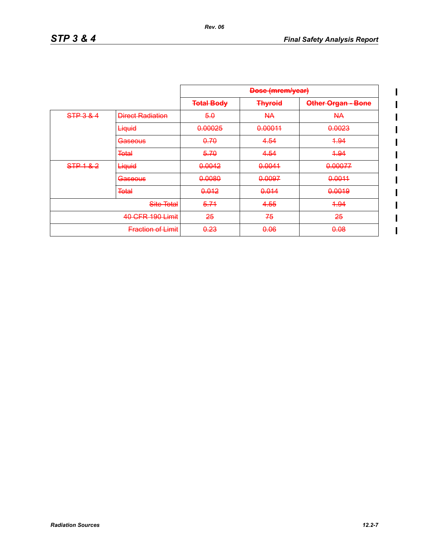$\begin{array}{c} \hline \end{array}$  $\overline{\mathbf{I}}$  $\overline{\phantom{a}}$ 

> I  $\overline{\phantom{a}}$  $\overline{\phantom{a}}$

|                  |                          | <b>Dose (mrem/year)</b> |                 |                           |
|------------------|--------------------------|-------------------------|-----------------|---------------------------|
|                  |                          | <b>Total Body</b>       | <b>Thyroid</b>  | <b>Other Organ - Bone</b> |
| STP 3 & 4        | <b>Direct Radiation</b>  | 5.0                     | <del>NA</del>   | AA                        |
|                  | Liquid                   | 0.00025                 | 0.00011         | 0.0023                    |
|                  | <b>Gaseous</b>           | 0.70                    | 4.54            | 4.94                      |
|                  | <b>Total</b>             | 5.70                    | 4.54            | 4.94                      |
| STP1&2           | Liquid                   | 0.0042                  | 0.0041          | 0.00077                   |
|                  | <b>Gaseous</b>           | 0.0080                  | 0.0097          | 0.0011                    |
|                  | <b>Total</b>             | 0.012                   | 0.014           | 0.0019                    |
|                  | Site Total               | 5.74                    | 4.55            | 4.94                      |
| 40 CFR 190 Limit |                          | 25                      | 75              | 25                        |
|                  | <b>Fraction of Limit</b> | <del>0.23</del>         | <del>0.06</del> | 0.08                      |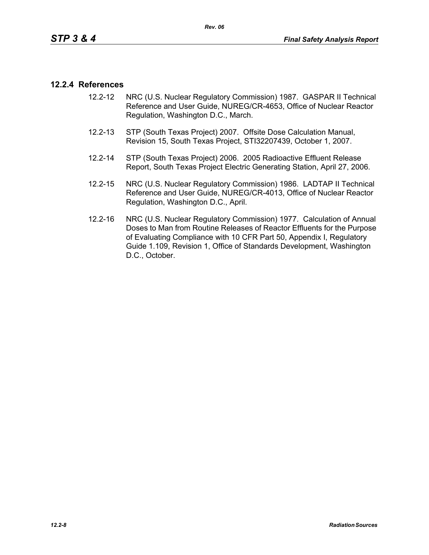### **12.2.4 References**

- 12.2-12 NRC (U.S. Nuclear Regulatory Commission) 1987. GASPAR II Technical Reference and User Guide, NUREG/CR-4653, Office of Nuclear Reactor Regulation, Washington D.C., March.
- 12.2-13 STP (South Texas Project) 2007. Offsite Dose Calculation Manual, Revision 15, South Texas Project, STI32207439, October 1, 2007.
- 12.2-14 STP (South Texas Project) 2006. 2005 Radioactive Effluent Release Report, South Texas Project Electric Generating Station, April 27, 2006.
- 12.2-15 NRC (U.S. Nuclear Regulatory Commission) 1986. LADTAP II Technical Reference and User Guide, NUREG/CR-4013, Office of Nuclear Reactor Regulation, Washington D.C., April.
- 12.2-16 NRC (U.S. Nuclear Regulatory Commission) 1977. Calculation of Annual Doses to Man from Routine Releases of Reactor Effluents for the Purpose of Evaluating Compliance with 10 CFR Part 50, Appendix I, Regulatory Guide 1.109, Revision 1, Office of Standards Development, Washington D.C., October.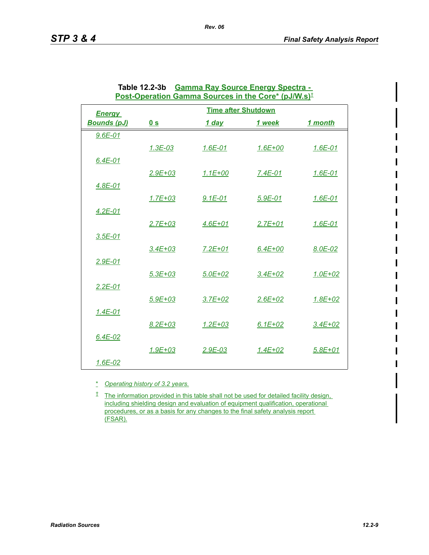|                    |                | Post-Operation Gamma Sources in the Core* (pJ/W.s) <sup>±</sup> |             |             |
|--------------------|----------------|-----------------------------------------------------------------|-------------|-------------|
| <b>Energy</b>      |                | <b>Time after Shutdown</b>                                      |             |             |
| <b>Bounds (pJ)</b> | 0 <sub>s</sub> | 1 day                                                           | 1 week      | 1 month     |
| $9.6E - 01$        |                |                                                                 |             |             |
|                    | $1.3E-03$      | $1.6E - 01$                                                     | $1.6E + 00$ | $1.6E - 01$ |
| $6.4E - 01$        |                |                                                                 |             |             |
|                    | $2.9E + 03$    | $1.1E + 00$                                                     | 7.4E-01     | $1.6E - 01$ |
| $4.8E - 01$        |                |                                                                 |             |             |
|                    | $1.7E + 03$    | $9.1E - 01$                                                     | $5.9E-01$   | $1.6E - 01$ |
| $4.2E - 01$        |                |                                                                 |             |             |
|                    | $2.7E + 03$    | $4.6E + 01$                                                     | $2.7E + 01$ | $1.6E - 01$ |
| $3.5E-01$          |                |                                                                 |             |             |
|                    | $3.4E + 03$    | $7.2E + 01$                                                     | $6.4E + 00$ | 8.0E-02     |
| $2.9E - 01$        |                |                                                                 |             |             |
|                    | $5.3E + 03$    | $5.0E + 02$                                                     | $3.4E + 02$ | $1.0E + 02$ |
| $2.2E - 01$        |                |                                                                 |             |             |
|                    | $5.9E + 03$    | $3.7E + 02$                                                     | $2.6E + 02$ | $1.8E + 02$ |
| $1.4E - 01$        |                |                                                                 |             |             |
|                    | $8.2E + 03$    | $1.2E + 03$                                                     | $6.1E + 02$ | $3.4E + 02$ |
| $6.4E-02$          |                |                                                                 |             |             |
|                    | $1.9E + 03$    | $2.9E - 03$                                                     | $1.4E + 02$ | $5.8E + 01$ |
| $1.6E - 02$        |                |                                                                 |             |             |

| Table 12.2-3b Gamma Ray Source Energy Spectra -                                |
|--------------------------------------------------------------------------------|
| Post-Operation Gamma Sources in the Core* (pJ/W.s) <sup><math>\pm</math></sup> |

*Rev. 06*

\* *Operating history of 3.2 years.*

<sup> $t$ </sup> The information provided in this table shall not be used for detailed facility design, including shielding design and evaluation of equipment qualification, operational procedures, or as a basis for any changes to the final safety analysis report (FSAR).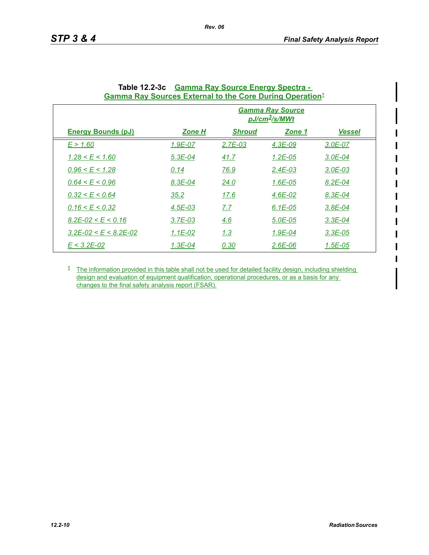| Gamma Ray Sources External to the Core During Operation- |               |               |                                                           |               |
|----------------------------------------------------------|---------------|---------------|-----------------------------------------------------------|---------------|
|                                                          |               |               | <b>Gamma Ray Source</b><br><u>pJ/cm<sup>3</sup>/s/MWt</u> |               |
| <b>Energy Bounds (pJ)</b>                                | <u>Zone H</u> | <b>Shroud</b> | <u>Zone 1</u>                                             | <b>Vessel</b> |
| E > 1.60                                                 | 1.9E-07       | $2.7E - 03$   | $4.3E-09$                                                 | 3.0E-07       |
| $1.28 \le E \le 1.60$                                    | $5.3E - 04$   | 41.7          | $1.2E - 0.5$                                              | $3.0E - 04$   |
| $0.96 \leq E \leq 1.28$                                  | 0.14          | 76.9          | 2.4E-03                                                   | $3.0E - 03$   |
| $0.64 \le E \le 0.96$                                    | 8.3E-04       | 24.0          | $1.6E - 05$                                               | $8.2E - 04$   |
| 0.32 < E < 0.64                                          | 35.2          | 17.6          | $4.6E - 02$                                               | 8.3E-04       |
| 0.16 < E < 0.32                                          | $4.5E - 03$   | 7.7           | $6.1E - 05$                                               | $3.8E - 04$   |
| $8.2E - 02 \leq E \leq 0.16$                             | $3.7E - 03$   | 4.6           | 5.0E-05                                                   | $3.3E - 04$   |
| $3.2E - 02 \le E \le 8.2E - 02$                          | $1.1E-02$     | 1.3           | $1.9E - 04$                                               | $3.3E-05$     |
| $E < 3.2E - 0.2$                                         | $1.3E - 04$   | 0.30          | $2.6E - 06$                                               | $1.5E - 05$   |

| Table 12.2-3c Gamma Ray Source Energy Spectra -                             |
|-----------------------------------------------------------------------------|
| <b>Gamma Ray Sources External to the Core During Operation</b> <sup>†</sup> |

*Rev. 06*

<sup> $†$ </sup> The information provided in this table shall not be used for detailed facility design, including shielding design and evaluation of equipment qualification, operational procedures, or as a basis for any changes to the final safety analysis report (FSAR).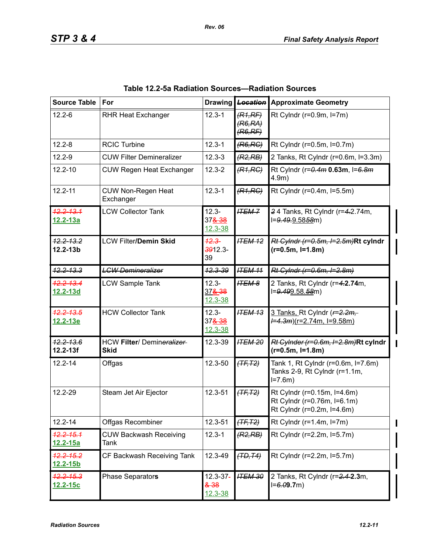| <b>Source Table</b>              | For                                      | <b>Drawing</b>                                  | <b>Location</b>               | <b>Approximate Geometry</b>                                                              |
|----------------------------------|------------------------------------------|-------------------------------------------------|-------------------------------|------------------------------------------------------------------------------------------|
| $12.2 - 6$                       | <b>RHR Heat Exchanger</b>                | $12.3 - 1$                                      | (R1,RF)<br>(R6,RA)<br>(R6,RF) | Rt Cylndr (r=0.9m, l=7m)                                                                 |
| $12.2 - 8$                       | <b>RCIC Turbine</b>                      | $12.3 - 1$                                      | (R6, RC)                      | Rt Cylndr (r=0.5m, l=0.7m)                                                               |
| $12.2 - 9$                       | <b>CUW Filter Demineralizer</b>          | $12.3 - 3$                                      | (R2, RB)                      | 2 Tanks, Rt Cylndr (r=0.6m, l=3.3m)                                                      |
| $12.2 - 10$                      | <b>CUW Regen Heat Exchanger</b>          | $12.3 - 2$                                      | (R1, RC)                      | Rt Cylndr (r=0.4m 0.63m, I=6.8m<br>4.9m)                                                 |
| $12.2 - 11$                      | <b>CUW Non-Regen Heat</b><br>Exchanger   | $12.3 - 1$                                      | (R1, RC)                      | Rt Cylndr (r=0.4m, l=5.5m)                                                               |
| 12.2-13.1<br><u>12.2-13a</u>     | <b>LCW Collector Tank</b>                | $12.3 -$<br>378 38<br>$12.3 - 38$               | <b>ITEM-7</b>                 | 24 Tanks, Rt Cylndr (r=4.2.74m,<br>l=9.49.9.5858m)                                       |
| <del>12.2-13.2</del><br>12.2-13b | <b>LCW Filter/Demin Skid</b>             | $12.3 -$<br>3912.3-<br>39                       | <b>ITEM 12</b>                | Rt Cylndr (r=0.5m, I=2.5m)Rt cylndr<br>$(r=0.5m, l=1.8m)$                                |
| <del>12.2-13.3</del>             | <b>LGW Demineralizer</b>                 | 12.3-39                                         | <b>ITEM 11</b>                | Rt Cylndr (r=0.6m, I=2.8m)                                                               |
| 12.2-13.4<br>12.2-13d            | <b>LCW Sample Tank</b>                   | $12.3 -$<br>378.38<br>$12.3 - 38$               | <b>ITEM 8</b>                 | 2 Tanks, Rt Cylndr (r=4.2.74m,<br>l=9.499.58.58m)                                        |
| <b>12.2-13.5</b><br>12.2-13e     | <b>HCW Collector Tank</b>                | $12.3 -$<br>378 38<br>$12.3 - 38$               | <b>ITEM 13</b>                | 3 Tanks, Rt Cylndr (F=2.2m,<br><del>/=4.3m</del> ) <u>(r=2.74m, l=9.58m)</u>             |
| <del>12.2-13.6</del><br>12.2-13f | HCW Filter/ Demineralizer<br><b>Skid</b> | 12.3-39                                         | <b>ITEM 20</b>                | Rt Cylnder (r=0.6m, l=2.8m)Rt cylndr<br>$(r=0.5m, I=1.8m)$                               |
| $12.2 - 14$                      | Offgas                                   | 12.3-50                                         | $(TF, T2)$                    | Tank 1, Rt Cylndr (r=0.6m, l=7.6m)<br>Tanks 2-9, Rt Cylndr (r=1.1m,<br>$I = 7.6m$        |
| 12.2-29                          | Steam Jet Air Ejector                    | 12.3-51                                         | $(TF, T2)$                    | Rt Cylndr (r=0.15m, l=4.6m)<br>Rt Cylndr (r=0.76m, l=6.1m)<br>Rt Cylndr (r=0.2m, l=4.6m) |
| $12.2 - 14$                      | Offgas Recombiner                        | 12.3-51                                         | $(TF, T2)$                    | Rt Cylndr ( $r=1.4m$ , $l=7m$ )                                                          |
| $12.2 - 15.1$<br><u>12.2-15a</u> | <b>CUW Backwash Receiving</b><br>Tank    | $12.3 - 1$                                      | (R2, RB)                      | Rt Cylndr (r=2.2m, l=5.7m)                                                               |
| 12.2-15.2<br>12.2-15b            | CF Backwash Receiving Tank               | 12.3-49                                         | (TD, T4)                      | Rt Cylndr (r=2.2m, l=5.7m)                                                               |
| <del>12.2-15.3</del><br>12.2-15c | Phase Separators                         | $12.3 - 37 -$<br><del>&amp; 38</del><br>12.3-38 | <b>ITEM 30</b>                | 2 Tanks, Rt Cylndr (r=2.4-2.3m,<br>$I = 6.09.7m$                                         |

| Table 12.2-5a Radiation Sources-Radiation Sources |  |  |  |  |
|---------------------------------------------------|--|--|--|--|
|---------------------------------------------------|--|--|--|--|

T

 $\mathbf I$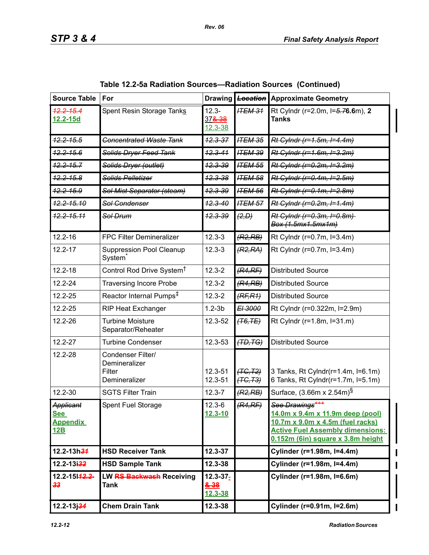| <b>Source Table</b>                        | For                                                           | <b>Drawing</b>                               |                      | <b>Location</b> Approximate Geometry                                                                                                                                                |
|--------------------------------------------|---------------------------------------------------------------|----------------------------------------------|----------------------|-------------------------------------------------------------------------------------------------------------------------------------------------------------------------------------|
| $12.2 - 15.4$<br>12.2-15d                  | Spent Resin Storage Tanks                                     | $12.3 -$<br>37 <del>&amp;38</del><br>12.3-38 | <b>ITEM 31</b>       | Rt Cylndr (r=2.0m, l=5.76.6m), 2<br><b>Tanks</b>                                                                                                                                    |
| $42.2 - 15.5$                              | <b>Concentrated Waste Tank</b>                                | $12.3 - 37$                                  | <b>ITEM 35</b>       | Rt Cylndr (r=1.5m, I=4.4m)                                                                                                                                                          |
| <del>12.2-15.6</del>                       | <b>Solids Dryer Feed Tank</b>                                 | $12.3 - 41$                                  | <b>ITEM 39</b>       | Rt Cylndr (r=1.6m, I=3.2m)                                                                                                                                                          |
| $12.2 - 15.7$                              | Solids Dryer (outlet)                                         | <del>12.3-39</del>                           | <b>ITEM 55</b>       | Rt Cylndr (r=0.2m, I=3.2m)                                                                                                                                                          |
| <del>12.2-15.8</del>                       | Solids Pelletizer                                             | $42.3 - 38$                                  | <b>ITEM 58</b>       | Rt Cylndr (r=0.4m, I=2.5m)                                                                                                                                                          |
| $42.2 - 15.9$                              | Sol Mist Separator (steam)                                    | $42.3 - 39$                                  | <b>ITEM 56</b>       | Rt Cylndr (r=0.1m, I=2.8m)                                                                                                                                                          |
| <del>12.2-15.10</del>                      | Sol Condenser                                                 | $12.3 - 40$                                  | <b>ITEM 57</b>       | Rt Cylndr (r=0.2m, I=1.4m)                                                                                                                                                          |
| <del>12.2-15.11</del>                      | Sol Drum                                                      | <del>12.3-39</del>                           | (2, D)               | Rt Cylndr (r=0.3m, I=0.8m)<br>Box (1.5mx1.5mx1m)                                                                                                                                    |
| 12.2-16                                    | FPC Filter Demineralizer                                      | $12.3 - 3$                                   | (R2, RB)             | Rt Cylndr (r=0.7m, l=3.4m)                                                                                                                                                          |
| $12.2 - 17$                                | <b>Suppression Pool Cleanup</b><br>System <sup>®</sup>        | $12.3 - 3$                                   | (R2, RA)             | Rt Cylndr (r=0.7m, l=3.4m)                                                                                                                                                          |
| $12.2 - 18$                                | Control Rod Drive System <sup>†</sup>                         | $12.3 - 2$                                   | (R4,RF)              | <b>Distributed Source</b>                                                                                                                                                           |
| 12.2-24                                    | <b>Traversing Incore Probe</b>                                | $12.3 - 2$                                   | (R4, RB)             | <b>Distributed Source</b>                                                                                                                                                           |
| 12.2-25                                    | Reactor Internal Pumps <sup>‡</sup>                           | $12.3 - 2$                                   | (RF, R1)             | <b>Distributed Source</b>                                                                                                                                                           |
| 12.2-25                                    | <b>RIP Heat Exchanger</b>                                     | $1.2 - 3b$                                   | EI 3000              | Rt Cylndr (r=0.322m, l=2.9m)                                                                                                                                                        |
| 12.2-26                                    | <b>Turbine Moisture</b><br>Separator/Reheater                 | 12.3-52                                      | (T6, TE)             | Rt Cylndr (r=1.8m, l=31.m)                                                                                                                                                          |
| 12.2-27                                    | <b>Turbine Condenser</b>                                      | 12.3-53                                      | (TD, TG)             | <b>Distributed Source</b>                                                                                                                                                           |
| 12.2-28                                    | Condenser Filter/<br>Demineralizer<br>Filter<br>Demineralizer | 12.3-51<br>12.3-51                           | (TG, T2)<br>(TG, T3) | 3 Tanks, Rt Cylndr(r=1.4m, I=6.1m)<br>6 Tanks, Rt Cylndr(r=1.7m, l=5.1m)                                                                                                            |
| 12.2-30                                    | <b>SGTS Filter Train</b>                                      | $12.3 - 7$                                   | (R2, RB)             | Surface, $(3.66m \times 2.54m)^8$                                                                                                                                                   |
| Applicant<br>See<br><b>Appendix</b><br>12B | Spent Fuel Storage                                            | $12.3 - 6$<br>$12.3 - 10$                    | (R4,RF)              | See Drawings <sup>+++</sup><br>14.0m x 9.4m x 11.9m deep (pool)<br>10.7m x 9.0m x 4.5m (fuel racks)<br><b>Active Fuel Assembly dimensions:</b><br>0.152m (6in) square x 3.8m height |
| $12.2 - 13h34$                             | <b>HSD Receiver Tank</b>                                      | $12.3 - 37$                                  |                      | Cylinder (r=1.98m, I=4.4m)                                                                                                                                                          |
| $12.2 - 13i32$                             | <b>HSD Sample Tank</b>                                        | 12.3-38                                      |                      | Cylinder (r=1.98m, l=4.4m)                                                                                                                                                          |
| 12.2-15142.2-<br>33                        | LW RS Backwash Receiving<br>Tank                              | $12.3 - 37 -$<br>2.38<br>12.3-38             |                      | Cylinder (r=1.98m, I=6.6m)                                                                                                                                                          |
| $12.2 - 13j34$                             | <b>Chem Drain Tank</b>                                        | 12.3-38                                      |                      | Cylinder (r=0.91m, I=2.6m)                                                                                                                                                          |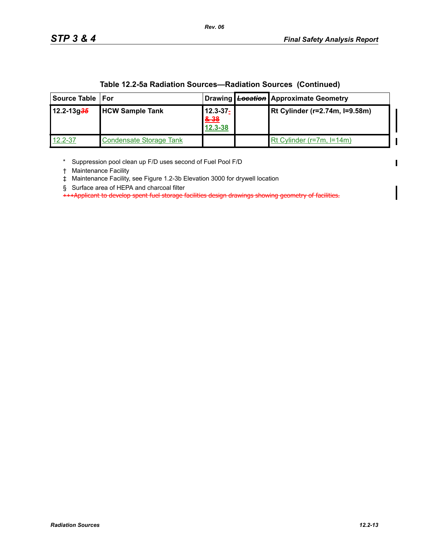| Source Table   For |                                |                                  | Drawing Location Approximate Geometry |
|--------------------|--------------------------------|----------------------------------|---------------------------------------|
| $12.2 - 13g35$     | <b>HCW Sample Tank</b>         | $12.3 - 37 -$<br>2.38<br>12.3-38 | Rt Cylinder (r=2.74m, I=9.58m)        |
| 12.2-37            | <b>Condensate Storage Tank</b> |                                  | Rt Cylinder (r=7m, l=14m)             |

**Table 12.2-5a Radiation Sources—Radiation Sources (Continued)**

\* Suppression pool clean up F/D uses second of Fuel Pool F/D

† Maintenance Facility

‡ Maintenance Facility, see Figure 1.2-3b Elevation 3000 for drywell location

§ Surface area of HEPA and charcoal filter

+++Applicant to develop spent fuel storage facilities design drawings showing geometry of facilities.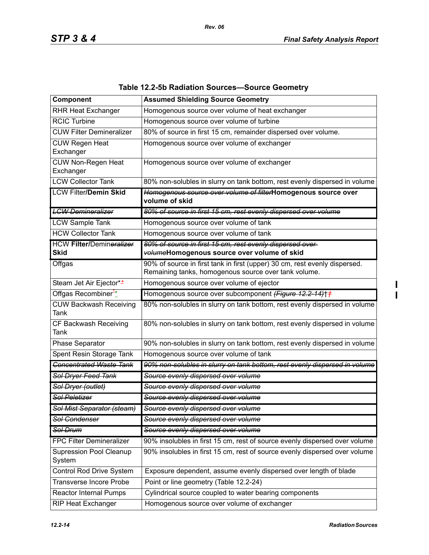| Component                                      | <b>Assumed Shielding Source Geometry</b>                                                                                           |
|------------------------------------------------|------------------------------------------------------------------------------------------------------------------------------------|
| <b>RHR Heat Exchanger</b>                      | Homogenous source over volume of heat exchanger                                                                                    |
| <b>RCIC Turbine</b>                            | Homogenous source over volume of turbine                                                                                           |
| <b>CUW Filter Demineralizer</b>                | 80% of source in first 15 cm, remainder dispersed over volume.                                                                     |
| <b>CUW Regen Heat</b><br>Exchanger             | Homogenous source over volume of exchanger                                                                                         |
| <b>CUW Non-Regen Heat</b><br>Exchanger         | Homogenous source over volume of exchanger                                                                                         |
| <b>LCW Collector Tank</b>                      | 80% non-solubles in slurry on tank bottom, rest evenly dispersed in volume                                                         |
| <b>LCW Filter/Demin Skid</b>                   | Homogenous source over volume of filterHomogenous source over<br>volume of skid                                                    |
| <b>LGW Demineralizer</b>                       | 80% of source in first 15 cm, rest evenly dispersed over volume                                                                    |
| <b>LCW Sample Tank</b>                         | Homogenous source over volume of tank                                                                                              |
| <b>HCW Collector Tank</b>                      | Homogenous source over volume of tank                                                                                              |
| <b>HCW Filter/Demineralizer</b><br><b>Skid</b> | 80% of source in first 15 cm, rest evenly dispersed over<br>volumeHomogenous source over volume of skid                            |
| Offgas                                         | 90% of source in first tank in first (upper) 30 cm, rest evenly dispersed.<br>Remaining tanks, homogenous source over tank volume. |
| Steam Jet Air Ejector**                        | Homogenous source over volume of ejector                                                                                           |
| Offgas Recombiner <sup>**</sup>                | Homogenous source over subcomponent (Figure 12.2-14)++                                                                             |
| <b>CUW Backwash Receiving</b><br>Tank          | 80% non-solubles in slurry on tank bottom, rest evenly dispersed in volume                                                         |
| CF Backwash Receiving<br>Tank                  | 80% non-solubles in slurry on tank bottom, rest evenly dispersed in volume                                                         |
| Phase Separator                                | 90% non-solubles in slurry on tank bottom, rest evenly dispersed in volume                                                         |
| Spent Resin Storage Tank                       | Homogenous source over volume of tank                                                                                              |
| <b>Concentrated Waste Tank</b>                 | 90% non-solubles in slurry on tank bottom, rest evenly dispersed in volume                                                         |
| Sol Dryer Feed Tank                            | Source evenly dispersed over volume                                                                                                |
| Sol Dryer (outlet)                             | Source evenly dispersed over volume                                                                                                |
| <b>Sol Peletizer</b>                           | Source evenly dispersed over volume                                                                                                |
| Sol Mist Separator (steam)                     | Source evenly dispersed over volume                                                                                                |
| <b>Sol Condenser</b>                           | Source evenly dispersed over volume                                                                                                |
| Sol Drum                                       | Source evenly dispersed over volume                                                                                                |
| <b>FPC Filter Demineralizer</b>                | 90% insolubles in first 15 cm, rest of source evenly dispersed over volume                                                         |
| <b>Supression Pool Cleanup</b>                 | 90% insolubles in first 15 cm, rest of source evenly dispersed over volume                                                         |
| System                                         |                                                                                                                                    |
| Control Rod Drive System                       | Exposure dependent, assume evenly dispersed over length of blade                                                                   |
| <b>Transverse Incore Probe</b>                 | Point or line geometry (Table 12.2-24)                                                                                             |
| <b>Reactor Internal Pumps</b>                  | Cylindrical source coupled to water bearing components                                                                             |

# **Table 12.2-5b Radiation Sources—Source Geometry**

*Rev. 06*

 $\mathbf I$  $\overline{1}$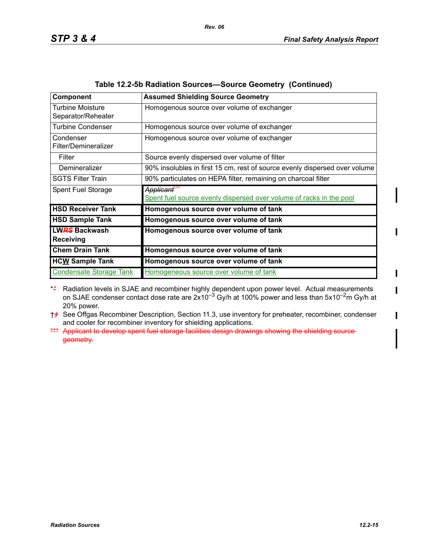| Component                                | <b>Assumed Shielding Source Geometry</b>                                         |
|------------------------------------------|----------------------------------------------------------------------------------|
| Turbine Moisture<br>Separator/Reheater   | Homogenous source over volume of exchanger                                       |
| <b>Turbine Condenser</b>                 | Homogenous source over volume of exchanger                                       |
| Condenser<br>Filter/Demineralizer        | Homogenous source over volume of exchanger                                       |
| Filter                                   | Source evenly dispersed over volume of filter                                    |
| Demineralizer                            | 90% insolubles in first 15 cm, rest of source evenly dispersed over volume       |
| <b>SGTS Filter Train</b>                 | 90% particulates on HEPA filter, remaining on charcoal filter                    |
| Spent Fuel Storage                       | Applicant<br>Spent fuel source evenly dispersed over volume of racks in the pool |
| <b>HSD Receiver Tank</b>                 | Homogenous source over volume of tank                                            |
| <b>HSD Sample Tank</b>                   | Homogenous source over volume of tank                                            |
| <b>LWRS Backwash</b><br><b>Receiving</b> | Homogenous source over volume of tank                                            |
| <b>Chem Drain Tank</b>                   | Homogenous source over volume of tank                                            |
| <b>HCW Sample Tank</b>                   | Homogenous source over volume of tank                                            |
| <b>Condensate Storage Tank</b>           | Homogeneous source over volume of tank                                           |

| Table 12.2-5b Radiation Sources-Source Geometry (Continued) |  |  |
|-------------------------------------------------------------|--|--|
|-------------------------------------------------------------|--|--|

- \**\** Radiation levels in SJAE and recombiner highly dependent upon power level. Actual measurements on SJAE condenser contact dose rate are  $2x10^{-3}$  Gy/h at 100% power and less than 5x10<sup>-2</sup>m Gy/h at 20% power.
- †*†* See Offgas Recombiner Description, Section 11.3, use inventory for preheater, recombiner, condenser and cooler for recombiner inventory for shielding applications.
- \*\*\* Applicant to develop spent fuel storage facilities design drawings showing the shielding sourcegeometry.

 $\blacksquare$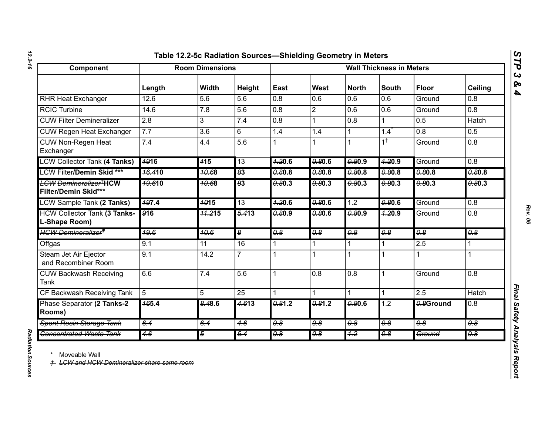| ١ |  |
|---|--|
|   |  |
|   |  |
|   |  |
|   |  |

| Component                                                       |                    | <b>Room Dimensions</b> |                       |                                  | <b>Wall Thickness in Meters</b>  |                                  |                          |                  |                  |  |
|-----------------------------------------------------------------|--------------------|------------------------|-----------------------|----------------------------------|----------------------------------|----------------------------------|--------------------------|------------------|------------------|--|
|                                                                 | Length             | Width                  | Height                | East                             | West                             | <b>North</b>                     | <b>South</b>             | <b>Floor</b>     | <b>Ceiling</b>   |  |
| <b>RHR Heat Exchanger</b>                                       | 12.6               | 5.6                    | 5.6                   | 0.8                              | 0.6                              | 0.6                              | 0.6                      | Ground           | 0.8              |  |
| <b>RCIC Turbine</b>                                             | 14.6               | 7.8                    | 5.6                   | 0.8                              | $\overline{2}$                   | 0.6                              | 0.6                      | Ground           | 0.8              |  |
| <b>CUW Filter Demineralizer</b>                                 | $\overline{2.8}$   | 3                      | 7.4                   | 0.8                              | $\mathbf 1$                      | 0.8                              | 1                        | 0.5              | Hatch            |  |
| <b>CUW Regen Heat Exchanger</b>                                 | 7.7                | 3.6                    | 6                     | 1.4                              | 1.4                              | $\mathbf{1}$                     | 1.4                      | 0.8              | 0.5              |  |
| <b>CUW Non-Regen Heat</b><br>Exchanger                          | 7.4                | 4.4                    | 5.6                   |                                  |                                  | 1                                | $\overline{1^{\dagger}}$ | Ground           | 0.8              |  |
| <b>LCW Collector Tank (4 Tanks)</b>                             | <b>4916</b>        | 415                    | $\overline{13}$       | 7.20.6                           | 0.80.6                           | 0.80.9                           | 7.20.9                   | Ground           | 0.8              |  |
| <b>LCW Filter/Demin Skid ***</b>                                | <del>16.4</del> 10 | 40.68                  | $\overline{83}$       | 0.80.8                           | 0.80.8                           | 0.80.8                           | 0.80.8                   | 0.80.8           | 0.80.8           |  |
| <b>LCW Demineralizer<sup>T</sup>HCW</b><br>Filter/Demin Skid*** | <del>19.6</del> 10 | 40.68                  | $\overline{83}$       | 0.3                              | 0.80.3                           | 0.80.3                           | $-0.80.3$                | 0.80.3           | $-80.3$          |  |
| <b>LCW Sample Tank (2 Tanks)</b>                                | 497.4              | $\frac{4015}{ }$       | 13                    | 7.20.6                           | 0.80.6                           | 1.2                              | 0.806                    | Ground           | 0.8              |  |
| <b>HCW Collector Tank (3 Tanks-</b><br>L-Shape Room)            | $\sqrt{916}$       | 44.215                 | $\frac{5.413}{5.413}$ | 0.969                            | 0.806                            | 0.80.9                           | 7.20.9                   | Ground           | 0.8              |  |
| <b>HCW Demineralizer<sup>#</sup></b>                            | 49.6               | 40.6                   | l\$                   | $\overline{4.8}$                 | $\overline{\theta \cdot \theta}$ | $\overline{\theta \cdot \theta}$ | $\overline{48}$          | $\overline{48}$  | $\overline{0.8}$ |  |
| Offgas                                                          | 9.1                | 11                     | 16                    | 1                                | 1                                | 1                                | 1                        | 2.5              | 1                |  |
| Steam Jet Air Ejector<br>and Recombiner Room                    | 9.1                | 14.2                   | 7                     |                                  | 1                                | $\mathbf{1}$                     | 1                        | 1                |                  |  |
| <b>CUW Backwash Receiving</b><br><b>Tank</b>                    | 6.6                | 7.4                    | 5.6                   | 1                                | 0.8                              | 0.8                              | 1                        | Ground           | 0.8              |  |
| CF Backwash Receiving Tank                                      | $\overline{5}$     | 5                      | $\overline{25}$       | 1                                |                                  | 1                                | 1                        | 2.5              | Hatch            |  |
| Phase Separator (2 Tanks-2<br>Rooms)                            | $\frac{465.4}{5}$  | 8.48.6                 | 4.613                 | 0.81.2                           | 0.81.2                           | 0.80.6                           | $\overline{1.2}$         | 0.8Ground        | 0.8              |  |
| <b>Spent Resin Storage Tank</b>                                 | 6.4                | 6.4                    | 4.6                   | $\overline{4.8}$                 | $\overline{4.8}$                 | $\overline{\theta \cdot \theta}$ | $\overline{48}$          | $\overline{4.8}$ | $\overline{48}$  |  |
| <b>Concentrated Waste Tank</b>                                  | 4.6                | $\overline{5}$         | $\overline{5.4}$      | $\overline{\theta \cdot \theta}$ | $\overline{\theta}$              | $+2$                             | $\overline{4.8}$         | Ground           | $\overline{4.8}$ |  |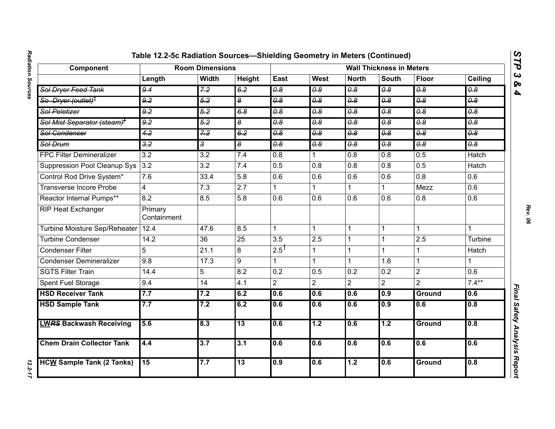| Component                               | <b>Room Dimensions</b> | <b>Wall Thickness in Meters</b> |                                  |                                  |                                  |                       |                       |                                  |                                  |
|-----------------------------------------|------------------------|---------------------------------|----------------------------------|----------------------------------|----------------------------------|-----------------------|-----------------------|----------------------------------|----------------------------------|
|                                         | Length                 | <b>Width</b>                    | Height                           | East                             | <b>West</b>                      | <b>North</b>          | <b>South</b>          | <b>Floor</b>                     | Ceiling                          |
| Sol Dryer Feed Tank                     | 9.4                    | 7.2                             | 6.2                              | 0.8                              | 0.8                              | $\overline{\theta.8}$ | 0.8                   | $\overline{\theta.8}$            | $\overline{\theta.8}$            |
| So Dryer (outlet) <sup>†</sup>          | 9.2                    | 5.2                             | $\overline{\boldsymbol{\delta}}$ | 0.8                              | 0.8                              | 0.8                   | $\overline{\theta.8}$ | 0.8                              | 0.8                              |
| <b>Sol Peletizer</b>                    | 9.2                    | 5.2                             | 6.8                              | $\overline{\theta \cdot \theta}$ | $\overline{\theta \cdot \theta}$ | $\overline{\theta.8}$ | 0.8                   | $\overline{\theta \cdot \theta}$ | $\overline{\theta \cdot \theta}$ |
| Sol Mist Separator (steam) <sup>+</sup> | 9.2                    | 5.2                             | $\overline{\bullet}$             | $\overline{\theta.8}$            | $\overline{\theta.8}$            | $\overline{\theta.8}$ | $\overline{\theta.8}$ | $\overline{\theta.8}$            | $\theta$ .8                      |
| <b>Sol Condenser</b>                    | 4.2                    | 7.2                             | 6.2                              | $\overline{0.8}$                 | $\overline{0.8}$                 | $\overline{0.8}$      | $\overline{0.8}$      | 0.8                              | 0.8                              |
| <b>Sol Drum</b>                         | $\overline{3.2}$       | $\overline{3}$                  | $\overline{\bullet}$             | $\overline{\theta.8}$            | 0.8                              | $\overline{\theta.8}$ | $\overline{\theta.8}$ | 0.8                              | $\theta$ .8                      |
| <b>FPC Filter Demineralizer</b>         | $\overline{3.2}$       | $\overline{3.2}$                | 7.4                              | $\overline{0.8}$                 |                                  | 0.8                   | 0.8                   | 0.5                              | <b>Hatch</b>                     |
| <b>Suppression Pool Cleanup Sys</b>     | 3.2                    | $\overline{3.2}$                | 7.4                              | 0.5                              | 0.8                              | 0.8                   | $\overline{0.8}$      | 0.5                              | <b>Hatch</b>                     |
| Control Rod Drive System*               | 7.6                    | 33.4                            | 5.8                              | 0.6                              | 0.6                              | 0.6                   | 0.6                   | 0.8                              | 0.6                              |
| <b>Transverse Incore Probe</b>          | $\overline{4}$         | $\overline{7.3}$                | $\overline{2.7}$                 | 1                                |                                  |                       | 1                     | Mezz                             | 0.6                              |
| Reactor Internal Pumps**                | 8.2                    | 8.5                             | 5.8                              | 0.6                              | 0.6                              | 0.6                   | 0.6                   | 0.8                              | 0.6                              |
| <b>RIP Heat Exchanger</b>               | Primary<br>Containment |                                 |                                  |                                  |                                  |                       |                       |                                  |                                  |
| Turbine Moisture Sep/Reheater           | 12.4                   | 47.6                            | 8.5                              | 1                                |                                  | 1                     | 1                     | 1                                | 1                                |
| <b>Turbine Condenser</b>                | 14.2                   | $\overline{36}$                 | $\overline{25}$                  | $\overline{3.5}$                 | 2.5                              | 1                     |                       | 2.5                              | Turbine                          |
| <b>Condenser Filter</b>                 | 5                      | 21.1                            | 8                                | $2.5$ <sup>T</sup>               |                                  | 1                     | 1                     | 1                                | Hatch                            |
| <b>Condenser Demineralizer</b>          | 9.8                    | 17.3                            | 9                                | 1                                |                                  |                       | 1.6                   | 1                                |                                  |
| <b>SGTS Filter Train</b>                | 14.4                   | 5                               | 8.2                              | 0.2                              | 0.5                              | 0.2                   | 0.2                   | $\overline{2}$                   | 0.6                              |
| Spent Fuel Storage                      | 9.4                    | 14                              | 4.1                              | $\overline{2}$                   | $\overline{2}$                   | $\overline{2}$        | $\overline{2}$        | $\overline{2}$                   | $7.4***$                         |
| <b>HSD Receiver Tank</b>                | 7.7                    | 7.2                             | 6.2                              | 0.6                              | 0.6                              | 0.6                   | 0.9                   | Ground                           | 0.6                              |
| <b>HSD Sample Tank</b>                  | 7.7                    | 7.2                             | 6.2                              | 0.6                              | 0.6                              | 0.6                   | 0.9                   | $\overline{0.6}$                 | 0.8                              |
| <b>LWRS Backwash Receiving</b>          | 5.6                    | 8.3                             | $\overline{13}$                  | 0.6                              | 1.2                              | 0.6                   | $\overline{1.2}$      | Ground                           | 0.8                              |
| <b>Chem Drain Collector Tank</b>        | 4.4                    | 3.7                             | 3.1                              | 0.6                              | 0.6                              | 0.6                   | 0.6                   | 0.6                              | 0.6                              |
| <b>HCW Sample Tank (2 Tanks)</b>        | 15                     | 7.7                             | 13                               | 0.9                              | 0.6                              | 1.2                   | 0.6                   | <b>Ground</b>                    | 0.8                              |

12.2-17

*STP 3 & 4*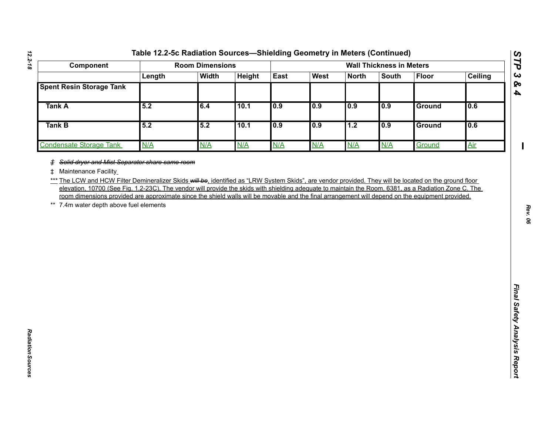| Component                       |  |
|---------------------------------|--|
|                                 |  |
| <b>Spent Resin Storage Tank</b> |  |
| <b>Tank A</b>                   |  |
| <b>Tank B</b>                   |  |
| <b>Condensate Storage Tank</b>  |  |
|                                 |  |

*Radiation Sources* 

Radiation Sources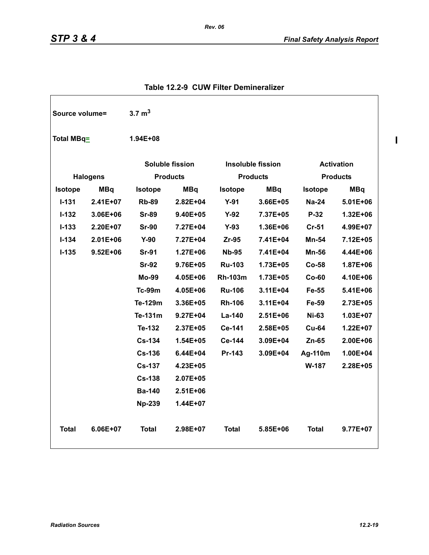| Source volume= |                 | $3.7 \text{ m}^3$      |              |                |                          |                   |                 |
|----------------|-----------------|------------------------|--------------|----------------|--------------------------|-------------------|-----------------|
| Total MBq=     |                 | 1.94E+08               |              |                |                          |                   |                 |
|                |                 | <b>Soluble fission</b> |              |                | <b>Insoluble fission</b> | <b>Activation</b> |                 |
|                | <b>Halogens</b> | <b>Products</b>        |              |                | <b>Products</b>          |                   | <b>Products</b> |
| <b>Isotope</b> | <b>MBq</b>      | <b>Isotope</b>         | <b>MBq</b>   | Isotope        | <b>MBq</b>               | <b>Isotope</b>    | <b>MBq</b>      |
| $1 - 131$      | $2.41E+07$      | <b>Rb-89</b>           | $2.82E + 04$ | $Y-91$         | $3.66E + 05$             | $Na-24$           | $5.01E + 06$    |
| $I - 132$      | 3.06E+06        | <b>Sr-89</b>           | 9.40E+05     | $Y-92$         | 7.37E+05                 | $P-32$            | 1.32E+06        |
| $I - 133$      | 2.20E+07        | <b>Sr-90</b>           | 7.27E+04     | $Y-93$         | 1.36E+06                 | $Cr-51$           | 4.99E+07        |
| $I - 134$      | $2.01E + 06$    | $Y-90$                 | 7.27E+04     | Zr-95          | 7.41E+04                 | <b>Mn-54</b>      | 7.12E+05        |
| $I - 135$      | $9.52E + 06$    | <b>Sr-91</b>           | $1.27E + 06$ | <b>Nb-95</b>   | 7.41E+04                 | <b>Mn-56</b>      | 4.44E+06        |
|                |                 | <b>Sr-92</b>           | 9.76E+05     | <b>Ru-103</b>  | 1.73E+05                 | <b>Co-58</b>      | 1.87E+06        |
|                |                 | <b>Mo-99</b>           | 4.05E+06     | <b>Rh-103m</b> | 1.73E+05                 | $Co-60$           | 4.10E+06        |
|                |                 | $Tc-99m$               | 4.05E+06     | <b>Ru-106</b>  | 3.11E+04                 | Fe-55             | 5.41E+06        |
|                |                 | Te-129m                | 3.36E+05     | <b>Rh-106</b>  | 3.11E+04                 | Fe-59             | 2.73E+05        |
|                |                 | Te-131m                | $9.27E + 04$ | La-140         | $2.51E + 06$             | <b>Ni-63</b>      | 1.03E+07        |
|                |                 | Te-132                 | 2.37E+05     | Ce-141         | 2.58E+05                 | <b>Cu-64</b>      | 1.22E+07        |
|                |                 | <b>Cs-134</b>          | $1.54E + 05$ | Ce-144         | 3.09E+04                 | $Zn-65$           | 2.00E+06        |
|                |                 | $Cs - 136$             | $6.44E + 04$ | Pr-143         | 3.09E+04                 | Ag-110m           | 1.00E+04        |
|                |                 | <b>Cs-137</b>          | 4.23E+05     |                |                          | W-187             | 2.28E+05        |
|                |                 | <b>Cs-138</b>          | 2.07E+05     |                |                          |                   |                 |
|                |                 | <b>Ba-140</b>          | 2.51E+06     |                |                          |                   |                 |
|                |                 | <b>Np-239</b>          | 1.44E+07     |                |                          |                   |                 |
| <b>Total</b>   | 6.06E+07        | <b>Total</b>           | 2.98E+07     | Total          | 5.85E+06                 | <b>Total</b>      | 9.77E+07        |

### **Table 12.2-9 CUW Filter Demineralizer**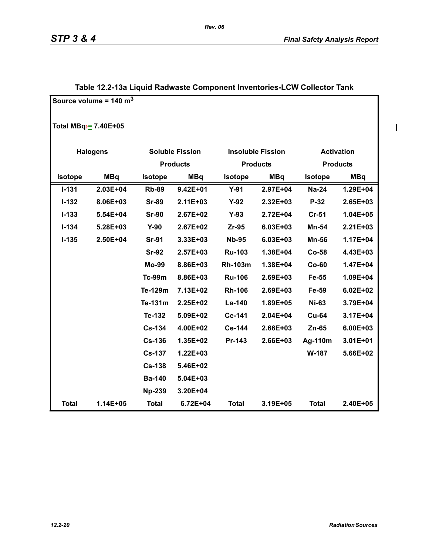$\mathbf{I}$ 

|                                 | Source volume = $140 \text{ m}^3$ |                |                        |                |                          |                   |                 |
|---------------------------------|-----------------------------------|----------------|------------------------|----------------|--------------------------|-------------------|-----------------|
| Total MBq <sup>-</sup> 7.40E+05 |                                   |                |                        |                |                          |                   |                 |
|                                 | <b>Halogens</b>                   |                | <b>Soluble Fission</b> |                | <b>Insoluble Fission</b> | <b>Activation</b> |                 |
|                                 |                                   |                | <b>Products</b>        |                | <b>Products</b>          |                   | <b>Products</b> |
| Isotope                         | <b>MBq</b>                        | <b>Isotope</b> | <b>MBq</b>             | <b>Isotope</b> | <b>MBq</b>               | <b>Isotope</b>    | <b>MBq</b>      |
| $I - 131$                       | 2.03E+04                          | <b>Rb-89</b>   | $9.42E + 01$           | $Y-91$         | 2.97E+04                 | <b>Na-24</b>      | 1.29E+04        |
| $I - 132$                       | 8.06E+03                          | <b>Sr-89</b>   | 2.11E+03               | $Y-92$         | 2.32E+03                 | P-32              | 2.65E+03        |
| $I - 133$                       | 5.54E+04                          | <b>Sr-90</b>   | 2.67E+02               | $Y-93$         | $2.72E + 04$             | $Cr-51$           | 1.04E+05        |
| $I-134$                         | 5.28E+03                          | $Y-90$         | $2.67E + 02$           | $Zr-95$        | 6.03E+03                 | Mn-54             | $2.21E + 03$    |
| $I-135$                         | 2.50E+04                          | <b>Sr-91</b>   | 3.33E+03               | <b>Nb-95</b>   | 6.03E+03                 | <b>Mn-56</b>      | 1.17E+04        |
|                                 |                                   | <b>Sr-92</b>   | $2.57E + 03$           | <b>Ru-103</b>  | 1.38E+04                 | $Co-58$           | 4.43E+03        |
|                                 |                                   | <b>Mo-99</b>   | 8.86E+03               | <b>Rh-103m</b> | 1.38E+04                 | $Co-60$           | 1.47E+04        |
|                                 |                                   | <b>Tc-99m</b>  | 8.86E+03               | <b>Ru-106</b>  | 2.69E+03                 | Fe-55             | 1.09E+04        |
|                                 |                                   | Te-129m        | 7.13E+02               | <b>Rh-106</b>  | 2.69E+03                 | Fe-59             | $6.02E + 02$    |
|                                 |                                   | Te-131m        | 2.25E+02               | La-140         | 1.89E+05                 | <b>Ni-63</b>      | 3.79E+04        |
|                                 |                                   | Te-132         | 5.09E+02               | Ce-141         | 2.04E+04                 | <b>Cu-64</b>      | 3.17E+04        |
|                                 |                                   | <b>Cs-134</b>  | 4.00E+02               | Ce-144         | 2.66E+03                 | Zn-65             | 6.00E+03        |
|                                 |                                   | <b>Cs-136</b>  | 1.35E+02               | Pr-143         | 2.66E+03                 | Ag-110m           | 3.01E+01        |
|                                 |                                   | <b>Cs-137</b>  | $1.22E + 03$           |                |                          | W-187             | 5.66E+02        |
|                                 |                                   | <b>Cs-138</b>  | 5.46E+02               |                |                          |                   |                 |
|                                 |                                   | <b>Ba-140</b>  | 5.04E+03               |                |                          |                   |                 |
|                                 |                                   | <b>Np-239</b>  | 3.20E+04               |                |                          |                   |                 |
| <b>Total</b>                    | 1.14E+05                          | <b>Total</b>   | 6.72E+04               | <b>Total</b>   | 3.19E+05                 | <b>Total</b>      | 2.40E+05        |

# **Table 12.2-13a Liquid Radwaste Component Inventories-LCW Collector Tank**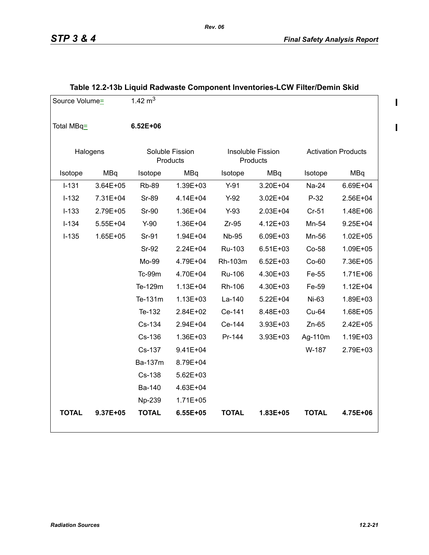$\begin{array}{c} \rule{0pt}{2.5ex} \rule{0pt}{2.5ex} \rule{0pt}{2.5ex} \rule{0pt}{2.5ex} \rule{0pt}{2.5ex} \rule{0pt}{2.5ex} \rule{0pt}{2.5ex} \rule{0pt}{2.5ex} \rule{0pt}{2.5ex} \rule{0pt}{2.5ex} \rule{0pt}{2.5ex} \rule{0pt}{2.5ex} \rule{0pt}{2.5ex} \rule{0pt}{2.5ex} \rule{0pt}{2.5ex} \rule{0pt}{2.5ex} \rule{0pt}{2.5ex} \rule{0pt}{2.5ex} \rule{0pt}{2.5ex} \rule{0$ 

 $\blacksquare$ 

| Source Volume= |              | 1.42 $m3$                   |              |               |                               |                            |              |
|----------------|--------------|-----------------------------|--------------|---------------|-------------------------------|----------------------------|--------------|
| Total MBq=     |              | $6.52E + 06$                |              |               |                               |                            |              |
|                | Halogens     | Soluble Fission<br>Products |              |               | Insoluble Fission<br>Products | <b>Activation Products</b> |              |
| Isotope        | <b>MBq</b>   | Isotope                     | MBq          | Isotope       | MBq                           | Isotope                    | MBq          |
| $I-131$        | 3.64E+05     | <b>Rb-89</b>                | 1.39E+03     | $Y-91$        | 3.20E+04                      | Na-24                      | 6.69E+04     |
| $I-132$        | 7.31E+04     | <b>Sr-89</b>                | 4.14E+04     | $Y-92$        | $3.02E + 04$                  | $P-32$                     | 2.56E+04     |
| $I-133$        | 2.79E+05     | <b>Sr-90</b>                | 1.36E+04     | $Y-93$        | 2.03E+04                      | $Cr-51$                    | 1.48E+06     |
| $I - 134$      | $5.55E + 04$ | $Y-90$                      | 1.36E+04     | $Zr-95$       | 4.12E+03                      | Mn-54                      | $9.25E + 04$ |
| $I-135$        | 1.65E+05     | Sr-91                       | 1.94E+04     | <b>Nb-95</b>  | 6.09E+03                      | Mn-56                      | $1.02E + 05$ |
|                |              | Sr-92                       | 2.24E+04     | Ru-103        | $6.51E + 03$                  | Co-58                      | 1.09E+05     |
|                |              | Mo-99                       | 4.79E+04     | Rh-103m       | $6.52E + 03$                  | $Co-60$                    | 7.36E+05     |
|                |              | Tc-99m                      | 4.70E+04     | <b>Ru-106</b> | 4.30E+03                      | Fe-55                      | $1.71E + 06$ |
|                |              | Te-129m                     | $1.13E + 04$ | Rh-106        | 4.30E+03                      | Fe-59                      | $1.12E + 04$ |
|                |              | Te-131m                     | $1.13E + 03$ | La-140        | $5.22E + 04$                  | $Ni-63$                    | 1.89E+03     |
|                |              | Te-132                      | 2.84E+02     | Ce-141        | 8.48E+03                      | Cu-64                      | 1.68E+05     |
|                |              | Cs-134                      | 2.94E+04     | Ce-144        | 3.93E+03                      | $Zn-65$                    | 2.42E+05     |
|                |              | Cs-136                      | 1.36E+03     | Pr-144        | 3.93E+03                      | Ag-110m                    | 1.19E+03     |
|                |              | Cs-137                      | $9.41E + 04$ |               |                               | W-187                      | 2.79E+03     |
|                |              | Ba-137m                     | 8.79E+04     |               |                               |                            |              |
|                |              | Cs-138                      | $5.62E + 03$ |               |                               |                            |              |
|                |              | Ba-140                      | 4.63E+04     |               |                               |                            |              |
|                |              | Np-239                      | $1.71E + 05$ |               |                               |                            |              |
| <b>TOTAL</b>   | 9.37E+05     | <b>TOTAL</b>                | 6.55E+05     | <b>TOTAL</b>  | 1.83E+05                      | <b>TOTAL</b>               | 4.75E+06     |

# **Table 12.2-13b Liquid Radwaste Component Inventories-LCW Filter/Demin Skid**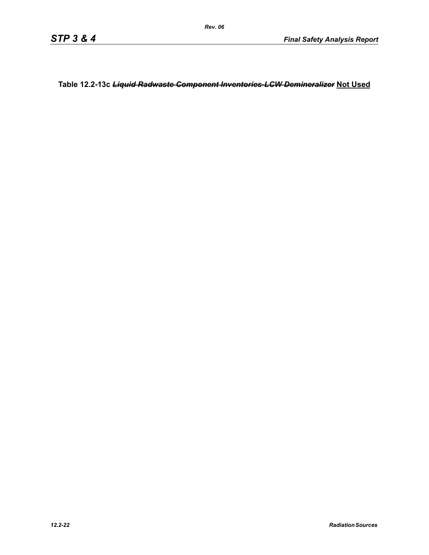**Table 12.2-13c** *Liquid Radwaste Component Inventories-LCW Demineralizer* **Not Used**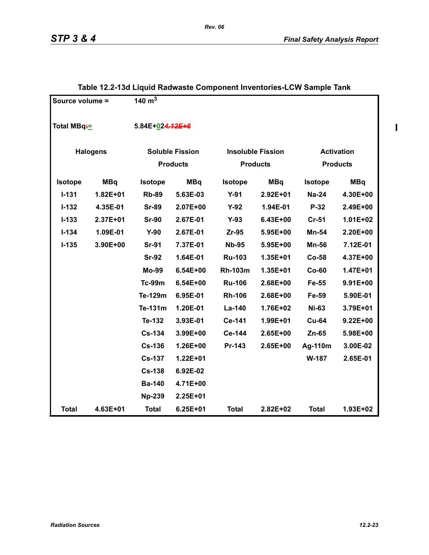$\mathbf{I}$ 

| Source volume =        |            | 140 $\overline{m^3}$   |                 |                |                          |                   |                 |
|------------------------|------------|------------------------|-----------------|----------------|--------------------------|-------------------|-----------------|
| Total MBq <sup>-</sup> |            | 5.84E+024.42E+6        |                 |                |                          |                   |                 |
| <b>Halogens</b>        |            | <b>Soluble Fission</b> |                 |                | <b>Insoluble Fission</b> | <b>Activation</b> |                 |
|                        |            |                        | <b>Products</b> |                | <b>Products</b>          |                   | <b>Products</b> |
| Isotope                | <b>MBq</b> | <b>Isotope</b>         | <b>MBq</b>      | <b>Isotope</b> | <b>MBq</b>               | <b>Isotope</b>    | <b>MBq</b>      |
| $I - 131$              | 1.82E+01   | <b>Rb-89</b>           | 5.63E-03        | $Y-91$         | 2.92E+01                 | <b>Na-24</b>      | 4.30E+00        |
| $I - 132$              | 4.35E-01   | <b>Sr-89</b>           | 2.07E+00        | $Y-92$         | 1.94E-01                 | P-32              | 2.49E+00        |
| $I - 133$              | 2.37E+01   | <b>Sr-90</b>           | 2.67E-01        | $Y-93$         | 6.43E+00                 | $Cr-51$           | $1.01E + 02$    |
| $I - 134$              | 1.09E-01   | $Y-90$                 | 2.67E-01        | $Zr-95$        | 5.95E+00                 | Mn-54             | 2.20E+00        |
| $I-135$                | 3.90E+00   | <b>Sr-91</b>           | 7.37E-01        | <b>Nb-95</b>   | 5.95E+00                 | <b>Mn-56</b>      | 7.12E-01        |
|                        |            | <b>Sr-92</b>           | 1.64E-01        | <b>Ru-103</b>  | 1.35E+01                 | $Co-58$           | 4.37E+00        |
|                        |            | <b>Mo-99</b>           | $6.54E + 00$    | <b>Rh-103m</b> | 1.35E+01                 | $Co-60$           | 1.47E+01        |
|                        |            | <b>Tc-99m</b>          | $6.54E + 00$    | <b>Ru-106</b>  | 2.68E+00                 | Fe-55             | 9.91E+00        |
|                        |            | Te-129m                | 6.95E-01        | <b>Rh-106</b>  | 2.68E+00                 | Fe-59             | 5.90E-01        |
|                        |            | Te-131m                | 1.20E-01        | La-140         | 1.76E+02                 | <b>Ni-63</b>      | 3.79E+01        |
|                        |            | Te-132                 | 3.93E-01        | Ce-141         | 1.99E+01                 | <b>Cu-64</b>      | $9.22E + 00$    |
|                        |            | <b>Cs-134</b>          | 3.99E+00        | Ce-144         | 2.65E+00                 | Zn-65             | 5.98E+00        |
|                        |            | <b>Cs-136</b>          | 1.26E+00        | Pr-143         | 2.65E+00                 | Ag-110m           | 3.00E-02        |
|                        |            | <b>Cs-137</b>          | 1.22E+01        |                |                          | W-187             | 2.65E-01        |
|                        |            | <b>Cs-138</b>          | 6.92E-02        |                |                          |                   |                 |
|                        |            | <b>Ba-140</b>          | 4.71E+00        |                |                          |                   |                 |
|                        |            | <b>Np-239</b>          | 2.25E+01        |                |                          |                   |                 |
| <b>Total</b>           | 4.63E+01   | <b>Total</b>           | $6.25E + 01$    | <b>Total</b>   | 2.82E+02                 | <b>Total</b>      | 1.93E+02        |

# **Table 12.2-13d Liquid Radwaste Component Inventories-LCW Sample Tank**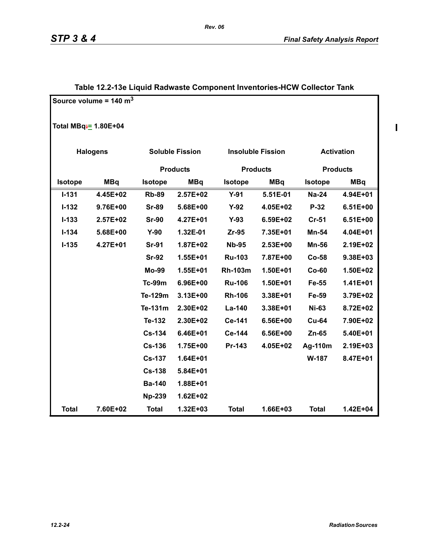|                                 | Source volume = 140 $m3$ |                |                        |                |                          |                   |                 |  |
|---------------------------------|--------------------------|----------------|------------------------|----------------|--------------------------|-------------------|-----------------|--|
| Total MBq <del>:</del> 1.80E+04 |                          |                |                        |                |                          |                   |                 |  |
|                                 | <b>Halogens</b>          |                | <b>Soluble Fission</b> |                | <b>Insoluble Fission</b> | <b>Activation</b> |                 |  |
|                                 |                          |                | <b>Products</b>        |                | <b>Products</b>          |                   | <b>Products</b> |  |
| <b>Isotope</b>                  | <b>MBq</b>               | <b>Isotope</b> | <b>MBq</b>             | <b>Isotope</b> | <b>MBq</b>               | <b>Isotope</b>    | <b>MBq</b>      |  |
| $I - 131$                       | 4.45E+02                 | <b>Rb-89</b>   | 2.57E+02               | $Y-91$         | 5.51E-01                 | <b>Na-24</b>      | 4.94E+01        |  |
| $I-132$                         | 9.76E+00                 | <b>Sr-89</b>   | 5.68E+00               | $Y-92$         | 4.05E+02                 | $P-32$            | $6.51E+00$      |  |
| $I - 133$                       | $2.57E+02$               | <b>Sr-90</b>   | 4.27E+01               | $Y-93$         | 6.59E+02                 | $Cr-51$           | 6.51E+00        |  |
| $I - 134$                       | 5.68E+00                 | $Y-90$         | 1.32E-01               | $Zr-95$        | 7.35E+01                 | Mn-54             | 4.04E+01        |  |
| $I-135$                         | 4.27E+01                 | <b>Sr-91</b>   | 1.87E+02               | <b>Nb-95</b>   | 2.53E+00                 | <b>Mn-56</b>      | 2.19E+02        |  |
|                                 |                          | <b>Sr-92</b>   | 1.55E+01               | <b>Ru-103</b>  | 7.87E+00                 | $Co-58$           | 9.38E+03        |  |
|                                 |                          | <b>Mo-99</b>   | 1.55E+01               | <b>Rh-103m</b> | 1.50E+01                 | $Co-60$           | 1.50E+02        |  |
|                                 |                          | <b>Tc-99m</b>  | 6.96E+00               | <b>Ru-106</b>  | 1.50E+01                 | Fe-55             | 1.41E+01        |  |
|                                 |                          | Te-129m        | 3.13E+00               | <b>Rh-106</b>  | 3.38E+01                 | Fe-59             | 3.79E+02        |  |
|                                 |                          | Te-131m        | 2.30E+02               | La-140         | 3.38E+01                 | <b>Ni-63</b>      | 8.72E+02        |  |
|                                 |                          | Te-132         | 2.30E+02               | Ce-141         | 6.56E+00                 | <b>Cu-64</b>      | 7.90E+02        |  |
|                                 |                          | <b>Cs-134</b>  | 6.46E+01               | Ce-144         | 6.56E+00                 | Zn-65             | 5.40E+01        |  |
|                                 |                          | <b>Cs-136</b>  | 1.75E+00               | Pr-143         | 4.05E+02                 | Ag-110m           | 2.19E+03        |  |
|                                 |                          | <b>Cs-137</b>  | 1.64E+01               |                |                          | W-187             | 8.47E+01        |  |
|                                 |                          | $Cs-138$       | 5.84E+01               |                |                          |                   |                 |  |

**Total 7.60E+02 Total 1.32E+03 Total 1.66E+03 Total 1.42E+04** 

 **Ba-140 1.88E+01 Np-239 1.62E+02** 

#### **Table 12.2-13e Liquid Radwaste Component Inventories-HCW Collector Tank**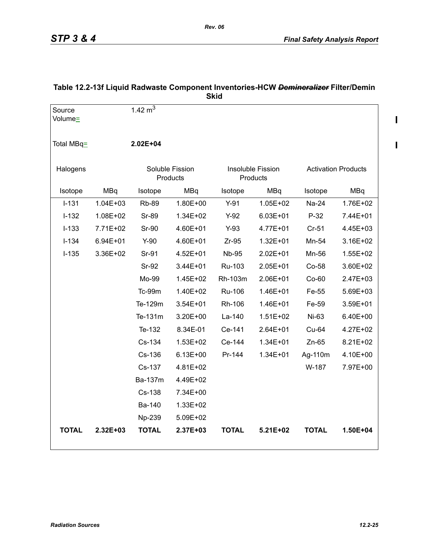$\mathbf{I}$ 

 $\mathbf{I}$ 

|                   |              |                |                             | <b>Skid</b>  |                               |              |                            |
|-------------------|--------------|----------------|-----------------------------|--------------|-------------------------------|--------------|----------------------------|
| Source<br>Volume= |              | 1.42 $m3$      |                             |              |                               |              |                            |
| Total MBq=        |              | $2.02E + 04$   |                             |              |                               |              |                            |
| Halogens          |              |                | Soluble Fission<br>Products |              | Insoluble Fission<br>Products |              | <b>Activation Products</b> |
| Isotope           | <b>MBq</b>   | Isotope        | <b>MBq</b>                  | Isotope      | <b>MBq</b>                    | Isotope      | <b>MBq</b>                 |
| $I-131$           | $1.04E + 03$ | <b>Rb-89</b>   | 1.80E+00                    | $Y-91$       | $1.05E + 02$                  | Na-24        | 1.76E+02                   |
| $I-132$           | 1.08E+02     | <b>Sr-89</b>   | 1.34E+02                    | $Y-92$       | $6.03E + 01$                  | $P-32$       | 7.44E+01                   |
| $I-133$           | 7.71E+02     | <b>Sr-90</b>   | 4.60E+01                    | $Y-93$       | 4.77E+01                      | Cr-51        | 4.45E+03                   |
| $I-134$           | 6.94E+01     | $Y-90$         | 4.60E+01                    | $Zr-95$      | $1.32E + 01$                  | Mn-54        | 3.16E+02                   |
| $I-135$           | 3.36E+02     | Sr-91          | 4.52E+01                    | <b>Nb-95</b> | 2.02E+01                      | Mn-56        | $1.55E + 02$               |
|                   |              | Sr-92          | 3.44E+01                    | Ru-103       | 2.05E+01                      | $Co-58$      | 3.60E+02                   |
|                   |              | Mo-99          | 1.45E+02                    | Rh-103m      | 2.06E+01                      | $Co-60$      | 2.47E+03                   |
|                   |              | Tc-99m         | 1.40E+02                    | Ru-106       | 1.46E+01                      | Fe-55        | 5.69E+03                   |
|                   |              | Te-129m        | 3.54E+01                    | Rh-106       | 1.46E+01                      | Fe-59        | 3.59E+01                   |
|                   |              | Te-131m        | 3.20E+00                    | La-140       | $1.51E + 02$                  | Ni-63        | 6.40E+00                   |
|                   |              | Te-132         | 8.34E-01                    | Ce-141       | 2.64E+01                      | Cu-64        | 4.27E+02                   |
|                   |              | Cs-134         | 1.53E+02                    | Ce-144       | $1.34E + 01$                  | $Zn-65$      | 8.21E+02                   |
|                   |              | Cs-136         | $6.13E + 00$                | Pr-144       | 1.34E+01                      | Ag-110m      | 4.10E+00                   |
|                   |              | Cs-137         | 4.81E+02                    |              |                               | W-187        | 7.97E+00                   |
|                   |              | <b>Ba-137m</b> | 4.49E+02                    |              |                               |              |                            |
|                   |              | Cs-138         | 7.34E+00                    |              |                               |              |                            |
|                   |              | Ba-140         | 1.33E+02                    |              |                               |              |                            |
|                   |              | Np-239         | 5.09E+02                    |              |                               |              |                            |
| <b>TOTAL</b>      | 2.32E+03     | <b>TOTAL</b>   | 2.37E+03                    | <b>TOTAL</b> | $5.21E+02$                    | <b>TOTAL</b> | $1.50E + 04$               |

# **Table 12.2-13f Liquid Radwaste Component Inventories-HCW** *Demineralizer* **Filter/Demin**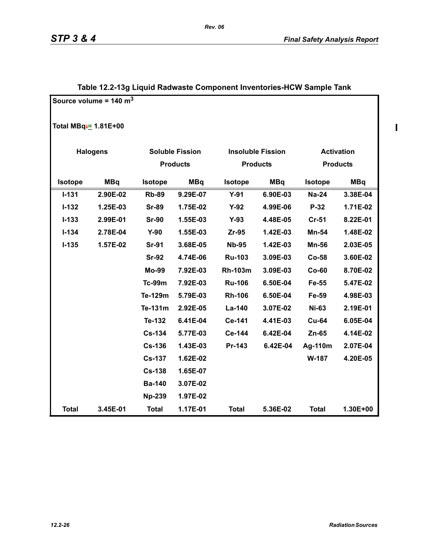$\mathbf{I}$ 

|                                   | Source volume = $140 \text{ m}^3$ |                |                        |                 |                          |                   |                 |
|-----------------------------------|-----------------------------------|----------------|------------------------|-----------------|--------------------------|-------------------|-----------------|
| Total MBq <sup>-</sup> = 1.81E+00 |                                   |                |                        |                 |                          |                   |                 |
|                                   | <b>Halogens</b>                   |                | <b>Soluble Fission</b> |                 | <b>Insoluble Fission</b> | <b>Activation</b> |                 |
|                                   |                                   |                | <b>Products</b>        | <b>Products</b> |                          |                   | <b>Products</b> |
| <b>Isotope</b>                    | <b>MBq</b>                        | <b>Isotope</b> | <b>MBq</b>             | <b>Isotope</b>  | <b>MBq</b>               | Isotope           | <b>MBq</b>      |
| $I - 131$                         | 2.90E-02                          | <b>Rb-89</b>   | 9.29E-07               | $Y-91$          | 6.90E-03                 | <b>Na-24</b>      | 3.38E-04        |
| $I - 132$                         | 1.25E-03                          | <b>Sr-89</b>   | 1.75E-02               | $Y-92$          | 4.99E-06                 | P-32              | 1.71E-02        |
| $I - 133$                         | 2.99E-01                          | <b>Sr-90</b>   | 1.55E-03               | $Y-93$          | 4.48E-05                 | <b>Cr-51</b>      | 8.22E-01        |
| $I - 134$                         | 2.78E-04                          | $Y-90$         | 1.55E-03               | Zr-95           | 1.42E-03                 | Mn-54             | 1.48E-02        |
| $I-135$                           | 1.57E-02                          | <b>Sr-91</b>   | 3.68E-05               | <b>Nb-95</b>    | 1.42E-03                 | <b>Mn-56</b>      | 2.03E-05        |
|                                   |                                   | <b>Sr-92</b>   | 4.74E-06               | <b>Ru-103</b>   | 3.09E-03                 | $Co-58$           | 3.60E-02        |
|                                   |                                   | <b>Mo-99</b>   | 7.92E-03               | <b>Rh-103m</b>  | 3.09E-03                 | $Co-60$           | 8.70E-02        |
|                                   |                                   | Tc-99m         | 7.92E-03               | <b>Ru-106</b>   | 6.50E-04                 | Fe-55             | 5.47E-02        |
|                                   |                                   | Te-129m        | 5.79E-03               | <b>Rh-106</b>   | 6.50E-04                 | Fe-59             | 4.98E-03        |
|                                   |                                   | Te-131m        | 2.92E-05               | La-140          | 3.07E-02                 | <b>Ni-63</b>      | 2.19E-01        |
|                                   |                                   | Te-132         | 6.41E-04               | Ce-141          | 4.41E-03                 | <b>Cu-64</b>      | 6.05E-04        |
|                                   |                                   | <b>Cs-134</b>  | 5.77E-03               | Ce-144          | 6.42E-04                 | $Zn-65$           | 4.14E-02        |
|                                   |                                   | <b>Cs-136</b>  | 1.43E-03               | Pr-143          | 6.42E-04                 | Ag-110m           | 2.07E-04        |
|                                   |                                   | <b>Cs-137</b>  | 1.62E-02               |                 |                          | W-187             | 4.20E-05        |
|                                   |                                   | <b>Cs-138</b>  | 1.65E-07               |                 |                          |                   |                 |
|                                   |                                   | <b>Ba-140</b>  | 3.07E-02               |                 |                          |                   |                 |
|                                   |                                   | <b>Np-239</b>  | 1.97E-02               |                 |                          |                   |                 |
| <b>Total</b>                      | 3.45E-01                          | <b>Total</b>   | 1.17E-01               | <b>Total</b>    | 5.36E-02                 | <b>Total</b>      | 1.30E+00        |

# **Table 12.2-13g Liquid Radwaste Component Inventories-HCW Sample Tank**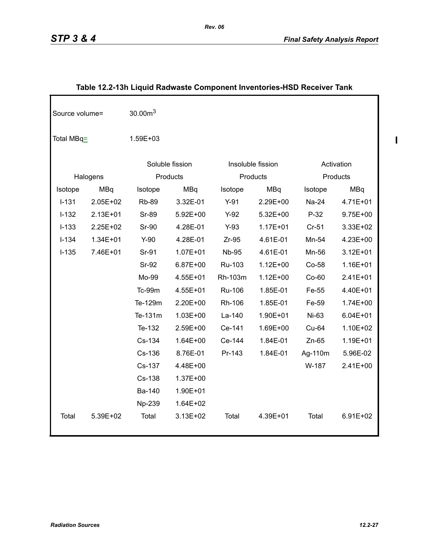| Source volume= |              | 30.00 <sup>3</sup> |                 |              |                   |         |              |
|----------------|--------------|--------------------|-----------------|--------------|-------------------|---------|--------------|
| Total MBq=     |              | 1.59E+03           |                 |              |                   |         |              |
|                |              |                    | Soluble fission |              | Insoluble fission |         | Activation   |
|                | Halogens     |                    | Products        |              | Products          |         | Products     |
| Isotope        | <b>MBq</b>   | Isotope            | <b>MBq</b>      | Isotope      | <b>MBq</b>        | Isotope | MBq          |
| $I - 131$      | 2.05E+02     | <b>Rb-89</b>       | 3.32E-01        | $Y-91$       | 2.29E+00          | Na-24   | 4.71E+01     |
| $I-132$        | 2.13E+01     | <b>Sr-89</b>       | 5.92E+00        | $Y-92$       | 5.32E+00          | $P-32$  | 9.75E+00     |
| $I-133$        | 2.25E+02     | <b>Sr-90</b>       | 4.28E-01        | $Y-93$       | $1.17E + 01$      | $Cr-51$ | 3.33E+02     |
| $I-134$        | $1.34E + 01$ | $Y-90$             | 4.28E-01        | $Zr-95$      | 4.61E-01          | Mn-54   | 4.23E+00     |
| $I-135$        | 7.46E+01     | Sr-91              | $1.07E + 01$    | <b>Nb-95</b> | 4.61E-01          | Mn-56   | $3.12E + 01$ |
|                |              | Sr-92              | 6.87E+00        | Ru-103       | $1.12E + 00$      | Co-58   | 1.16E+01     |
|                |              | Mo-99              | 4.55E+01        | Rh-103m      | $1.12E + 00$      | $Co-60$ | 2.41E+01     |
|                |              | Tc-99m             | 4.55E+01        | Ru-106       | 1.85E-01          | Fe-55   | 4.40E+01     |
|                |              | Te-129m            | 2.20E+00        | Rh-106       | 1.85E-01          | Fe-59   | 1.74E+00     |
|                |              | Te-131m            | $1.03E + 00$    | La-140       | 1.90E+01          | Ni-63   | $6.04E + 01$ |
|                |              | Te-132             | 2.59E+00        | Ce-141       | 1.69E+00          | Cu-64   | 1.10E+02     |
|                |              | Cs-134             | $1.64E + 00$    | Ce-144       | 1.84E-01          | $Zn-65$ | 1.19E+01     |
|                |              | Cs-136             | 8.76E-01        | Pr-143       | 1.84E-01          | Ag-110m | 5.96E-02     |
|                |              | Cs-137             | 4.48E+00        |              |                   | W-187   | 2.41E+00     |
|                |              | Cs-138             | 1.37E+00        |              |                   |         |              |
|                |              | Ba-140             | 1.90E+01        |              |                   |         |              |
|                |              | Np-239             | $1.64E + 02$    |              |                   |         |              |
| Total          | 5.39E+02     | Total              | 3.13E+02        | Total        | 4.39E+01          | Total   | $6.91E + 02$ |

# **Table 12.2-13h Liquid Radwaste Component Inventories-HSD Receiver Tank**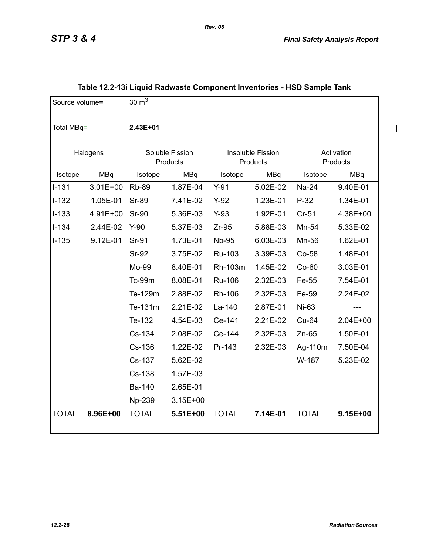$\mathbf I$ 

| Source volume= |              | 30 $m^3$      |                             |              |                               |              |                        |
|----------------|--------------|---------------|-----------------------------|--------------|-------------------------------|--------------|------------------------|
| Total MBq=     |              | 2.43E+01      |                             |              |                               |              |                        |
|                | Halogens     |               | Soluble Fission<br>Products |              | Insoluble Fission<br>Products |              | Activation<br>Products |
| Isotope        | MBq          | Isotope       | MBq                         | Isotope      | <b>MBq</b>                    | Isotope      | MBq                    |
| $I-131$        | $3.01E + 00$ | <b>Rb-89</b>  | 1.87E-04                    | $Y-91$       | 5.02E-02                      | Na-24        | 9.40E-01               |
| $I-132$        | 1.05E-01     | <b>Sr-89</b>  | 7.41E-02                    | $Y-92$       | 1.23E-01                      | $P-32$       | 1.34E-01               |
| $I-133$        | 4.91E+00     | <b>Sr-90</b>  | 5.36E-03                    | $Y-93$       | 1.92E-01                      | $Cr-51$      | 4.38E+00               |
| $I-134$        | 2.44E-02     | $Y-90$        | 5.37E-03                    | $Zr-95$      | 5.88E-03                      | Mn-54        | 5.33E-02               |
| $I-135$        | 9.12E-01     | Sr-91         | 1.73E-01                    | <b>Nb-95</b> | 6.03E-03                      | Mn-56        | 1.62E-01               |
|                |              | <b>Sr-92</b>  | 3.75E-02                    | Ru-103       | 3.39E-03                      | Co-58        | 1.48E-01               |
|                |              | Mo-99         | 8.40E-01                    | Rh-103m      | 1.45E-02                      | $Co-60$      | 3.03E-01               |
|                |              | <b>Tc-99m</b> | 8.08E-01                    | Ru-106       | 2.32E-03                      | Fe-55        | 7.54E-01               |
|                |              | Te-129m       | 2.88E-02                    | Rh-106       | 2.32E-03                      | Fe-59        | 2.24E-02               |
|                |              | Te-131m       | 2.21E-02                    | La-140       | 2.87E-01                      | Ni-63        |                        |
|                |              | Te-132        | 4.54E-03                    | Ce-141       | 2.21E-02                      | Cu-64        | $2.04E+00$             |
|                |              | Cs-134        | 2.08E-02                    | Ce-144       | 2.32E-03                      | $Zn-65$      | 1.50E-01               |
|                |              | Cs-136        | 1.22E-02                    | Pr-143       | 2.32E-03                      | Ag-110m      | 7.50E-04               |
|                |              | Cs-137        | 5.62E-02                    |              |                               | W-187        | 5.23E-02               |
|                |              | Cs-138        | 1.57E-03                    |              |                               |              |                        |
|                |              | Ba-140        | 2.65E-01                    |              |                               |              |                        |
|                |              | Np-239        | $3.15E+00$                  |              |                               |              |                        |
| <b>TOTAL</b>   | 8.96E+00     | <b>TOTAL</b>  | 5.51E+00                    | <b>TOTAL</b> | 7.14E-01                      | <b>TOTAL</b> | 9.15E+00               |

# **Table 12.2-13i Liquid Radwaste Component Inventories - HSD Sample Tank**

*Rev. 06*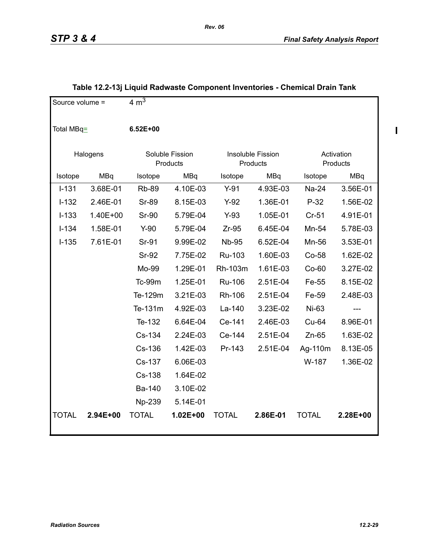$\mathbf I$ 

| Source volume = |          | $4 \text{ m}^3$ |                             |              |                               |              |                        |
|-----------------|----------|-----------------|-----------------------------|--------------|-------------------------------|--------------|------------------------|
| Total MBq=      |          | $6.52E + 00$    |                             |              |                               |              |                        |
|                 | Halogens |                 | Soluble Fission<br>Products |              | Insoluble Fission<br>Products |              | Activation<br>Products |
| Isotope         | MBq      | Isotope         | MBq                         | Isotope      | MBq                           | Isotope      | MBq                    |
| $I-131$         | 3.68E-01 | <b>Rb-89</b>    | 4.10E-03                    | $Y-91$       | 4.93E-03                      | Na-24        | 3.56E-01               |
| $I-132$         | 2.46E-01 | <b>Sr-89</b>    | 8.15E-03                    | $Y-92$       | 1.36E-01                      | $P-32$       | 1.56E-02               |
| $I-133$         | 1.40E+00 | <b>Sr-90</b>    | 5.79E-04                    | $Y-93$       | 1.05E-01                      | $Cr-51$      | 4.91E-01               |
| $I-134$         | 1.58E-01 | $Y-90$          | 5.79E-04                    | $Zr-95$      | 6.45E-04                      | Mn-54        | 5.78E-03               |
| $I-135$         | 7.61E-01 | Sr-91           | 9.99E-02                    | <b>Nb-95</b> | 6.52E-04                      | Mn-56        | 3.53E-01               |
|                 |          | <b>Sr-92</b>    | 7.75E-02                    | Ru-103       | 1.60E-03                      | $Co-58$      | 1.62E-02               |
|                 |          | Mo-99           | 1.29E-01                    | Rh-103m      | 1.61E-03                      | $Co-60$      | 3.27E-02               |
|                 |          | <b>Tc-99m</b>   | 1.25E-01                    | Ru-106       | 2.51E-04                      | Fe-55        | 8.15E-02               |
|                 |          | Te-129m         | 3.21E-03                    | Rh-106       | 2.51E-04                      | Fe-59        | 2.48E-03               |
|                 |          | Te-131m         | 4.92E-03                    | La-140       | 3.23E-02                      | Ni-63        |                        |
|                 |          | Te-132          | 6.64E-04                    | Ce-141       | 2.46E-03                      | Cu-64        | 8.96E-01               |
|                 |          | Cs-134          | 2.24E-03                    | Ce-144       | 2.51E-04                      | $Zn-65$      | 1.63E-02               |
|                 |          | Cs-136          | 1.42E-03                    | Pr-143       | 2.51E-04                      | Ag-110m      | 8.13E-05               |
|                 |          | Cs-137          | 6.06E-03                    |              |                               | W-187        | 1.36E-02               |
|                 |          | Cs-138          | 1.64E-02                    |              |                               |              |                        |
|                 |          | Ba-140          | 3.10E-02                    |              |                               |              |                        |
|                 |          | Np-239          | 5.14E-01                    |              |                               |              |                        |
| <b>TOTAL</b>    | 2.94E+00 | <b>TOTAL</b>    | 1.02E+00                    | <b>TOTAL</b> | 2.86E-01                      | <b>TOTAL</b> | 2.28E+00               |

# **Table 12.2-13j Liquid Radwaste Component Inventories - Chemical Drain Tank**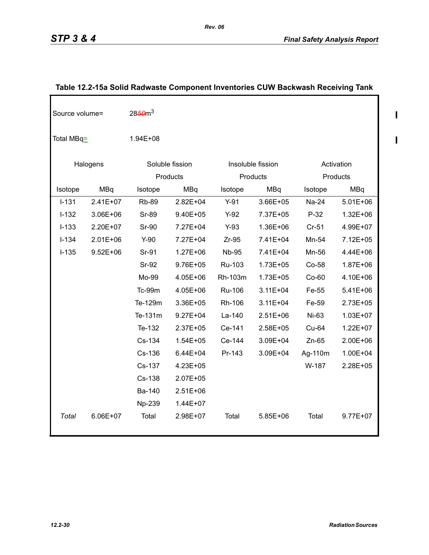$\mathbf{l}$ 

 $\overline{\phantom{a}}$ 

| Source volume= |              | 2850 <sup>3</sup> |                 |              |                   |         |              |
|----------------|--------------|-------------------|-----------------|--------------|-------------------|---------|--------------|
| Total MBq=     |              | 1.94E+08          |                 |              |                   |         |              |
|                | Halogens     |                   | Soluble fission |              | Insoluble fission |         | Activation   |
|                |              |                   | Products        |              | Products          |         | Products     |
| Isotope        | <b>MBq</b>   | Isotope           | <b>MBq</b>      | Isotope      | <b>MBq</b>        | Isotope | MBq          |
| $I-131$        | $2.41E+07$   | <b>Rb-89</b>      | $2.82E + 04$    | $Y-91$       | 3.66E+05          | Na-24   | $5.01E + 06$ |
| $I-132$        | 3.06E+06     | <b>Sr-89</b>      | 9.40E+05        | $Y-92$       | 7.37E+05          | $P-32$  | $1.32E + 06$ |
| $I-133$        | 2.20E+07     | <b>Sr-90</b>      | 7.27E+04        | $Y-93$       | 1.36E+06          | $Cr-51$ | 4.99E+07     |
| $I-134$        | $2.01E + 06$ | $Y-90$            | 7.27E+04        | $Zr-95$      | 7.41E+04          | Mn-54   | 7.12E+05     |
| $I-135$        | $9.52E + 06$ | Sr-91             | $1.27E + 06$    | <b>Nb-95</b> | 7.41E+04          | Mn-56   | 4.44E+06     |
|                |              | <b>Sr-92</b>      | $9.76E + 05$    | Ru-103       | 1.73E+05          | Co-58   | 1.87E+06     |
|                |              | Mo-99             | 4.05E+06        | Rh-103m      | 1.73E+05          | $Co-60$ | 4.10E+06     |
|                |              | <b>Tc-99m</b>     | 4.05E+06        | Ru-106       | $3.11E + 04$      | Fe-55   | 5.41E+06     |
|                |              | Te-129m           | 3.36E+05        | Rh-106       | $3.11E + 04$      | Fe-59   | 2.73E+05     |
|                |              | Te-131m           | $9.27E + 04$    | $La-140$     | $2.51E + 06$      | Ni-63   | $1.03E + 07$ |
|                |              | Te-132            | $2.37E + 05$    | Ce-141       | 2.58E+05          | Cu-64   | $1.22E + 07$ |
|                |              | Cs-134            | $1.54E + 05$    | Ce-144       | 3.09E+04          | $Zn-65$ | 2.00E+06     |
|                |              | Cs-136            | $6.44E + 04$    | Pr-143       | 3.09E+04          | Ag-110m | 1.00E+04     |
|                |              | Cs-137            | 4.23E+05        |              |                   | W-187   | 2.28E+05     |
|                |              | Cs-138            | 2.07E+05        |              |                   |         |              |
|                |              | Ba-140            | $2.51E+06$      |              |                   |         |              |
|                |              | Np-239            | 1.44E+07        |              |                   |         |              |
| Total          | 6.06E+07     | Total             | 2.98E+07        | Total        | 5.85E+06          | Total   | $9.77E + 07$ |

# **Table 12.2-15a Solid Radwaste Component Inventories CUW Backwash Receiving Tank**

*Rev. 06*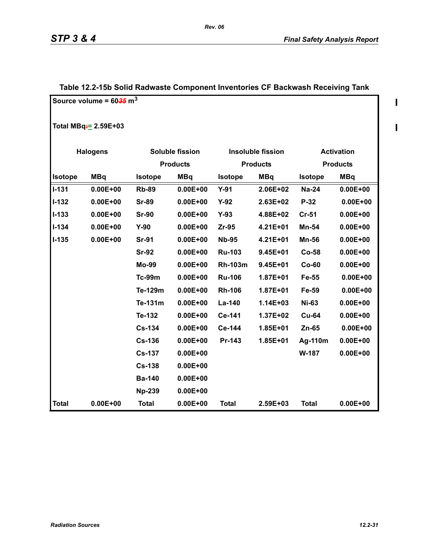$\begin{array}{c} \rule{0pt}{2.5ex} \rule{0pt}{2.5ex} \rule{0pt}{2.5ex} \rule{0pt}{2.5ex} \rule{0pt}{2.5ex} \rule{0pt}{2.5ex} \rule{0pt}{2.5ex} \rule{0pt}{2.5ex} \rule{0pt}{2.5ex} \rule{0pt}{2.5ex} \rule{0pt}{2.5ex} \rule{0pt}{2.5ex} \rule{0pt}{2.5ex} \rule{0pt}{2.5ex} \rule{0pt}{2.5ex} \rule{0pt}{2.5ex} \rule{0pt}{2.5ex} \rule{0pt}{2.5ex} \rule{0pt}{2.5ex} \rule{0$ 

 $\blacksquare$ 

|                | Source volume = $60\frac{35}{6}$ m <sup>3</sup> |                |                        |                |                          |                |                   |
|----------------|-------------------------------------------------|----------------|------------------------|----------------|--------------------------|----------------|-------------------|
|                | Total MBq= 2.59E+03                             |                |                        |                |                          |                |                   |
|                | <b>Halogens</b>                                 |                | <b>Soluble fission</b> |                | <b>Insoluble fission</b> |                | <b>Activation</b> |
|                |                                                 |                | <b>Products</b>        |                | <b>Products</b>          |                | <b>Products</b>   |
| <b>Isotope</b> | <b>MBq</b>                                      | <b>Isotope</b> | <b>MBq</b>             | <b>Isotope</b> | <b>MBq</b>               | <b>Isotope</b> | <b>MBq</b>        |
| $I-131$        | $0.00E + 00$                                    | <b>Rb-89</b>   | $0.00E + 00$           | $Y-91$         | 2.06E+02                 | <b>Na-24</b>   | $0.00E + 00$      |
| $I-132$        | $0.00E + 00$                                    | <b>Sr-89</b>   | $0.00E + 00$           | $Y-92$         | 2.63E+02                 | $P-32$         | $0.00E + 00$      |
| $I-133$        | $0.00E + 00$                                    | <b>Sr-90</b>   | $0.00E + 00$           | $Y-93$         | 4.88E+02                 | $Cr-51$        | $0.00E + 00$      |
| $I - 134$      | $0.00E + 00$                                    | $Y-90$         | $0.00E + 00$           | $Zr-95$        | 4.21E+01                 | <b>Mn-54</b>   | $0.00E + 00$      |
| $I-135$        | $0.00E + 00$                                    | <b>Sr-91</b>   | $0.00E + 00$           | <b>Nb-95</b>   | 4.21E+01                 | <b>Mn-56</b>   | $0.00E + 00$      |
|                |                                                 | <b>Sr-92</b>   | $0.00E + 00$           | <b>Ru-103</b>  | $9.45E + 01$             | Co-58          | $0.00E + 00$      |
|                |                                                 | <b>Mo-99</b>   | $0.00E + 00$           | <b>Rh-103m</b> | $9.45E + 01$             | $Co-60$        | $0.00E + 00$      |
|                |                                                 | <b>Tc-99m</b>  | $0.00E + 00$           | <b>Ru-106</b>  | 1.87E+01                 | Fe-55          | $0.00E + 00$      |
|                |                                                 | Te-129m        | $0.00E + 00$           | <b>Rh-106</b>  | $1.87E + 01$             | Fe-59          | $0.00E + 00$      |
|                |                                                 | Te-131m        | $0.00E + 00$           | La-140         | 1.14E+03                 | <b>Ni-63</b>   | $0.00E + 00$      |
|                |                                                 | Te-132         | $0.00E + 00$           | Ce-141         | 1.37E+02                 | <b>Cu-64</b>   | $0.00E + 00$      |
|                |                                                 | <b>Cs-134</b>  | $0.00E + 00$           | Ce-144         | 1.85E+01                 | $Zn-65$        | $0.00E + 00$      |
|                |                                                 | <b>Cs-136</b>  | $0.00E + 00$           | Pr-143         | 1.85E+01                 | Ag-110m        | $0.00E + 00$      |
|                |                                                 | <b>Cs-137</b>  | $0.00E + 00$           |                |                          | W-187          | $0.00E + 00$      |
|                |                                                 | <b>Cs-138</b>  | $0.00E + 00$           |                |                          |                |                   |
|                |                                                 | <b>Ba-140</b>  | $0.00E + 00$           |                |                          |                |                   |
|                |                                                 | <b>Np-239</b>  | $0.00E + 00$           |                |                          |                |                   |
| <b>Total</b>   | $0.00E + 00$                                    | <b>Total</b>   | $0.00E + 00$           | <b>Total</b>   | 2.59E+03                 | <b>Total</b>   | $0.00E + 00$      |

# **Table 12.2-15b Solid Radwaste Component Inventories CF Backwash Receiving Tank**

*Rev. 06*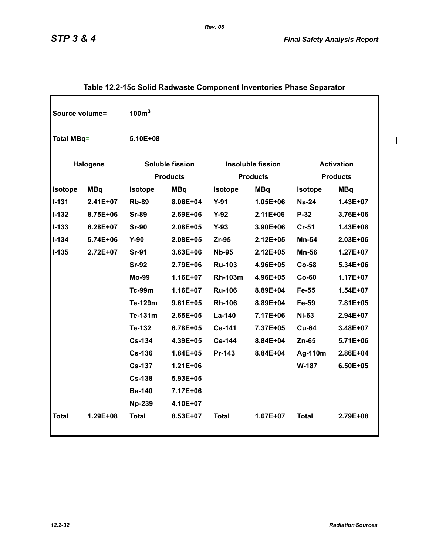| Source volume= |                 | 100 <sup>3</sup> |                                           |                |                                             |                |                                      |
|----------------|-----------------|------------------|-------------------------------------------|----------------|---------------------------------------------|----------------|--------------------------------------|
| Total MBq=     |                 | 5.10E+08         |                                           |                |                                             |                |                                      |
|                | <b>Halogens</b> |                  | <b>Soluble fission</b><br><b>Products</b> |                | <b>Insoluble fission</b><br><b>Products</b> |                | <b>Activation</b><br><b>Products</b> |
| Isotope        | <b>MBq</b>      | <b>Isotope</b>   | <b>MBq</b>                                | <b>Isotope</b> | <b>MBq</b>                                  | <b>Isotope</b> | <b>MBq</b>                           |
| $I - 131$      | 2.41E+07        | <b>Rb-89</b>     | 8.06E+04                                  | $Y-91$         | $1.05E + 06$                                | <b>Na-24</b>   | 1.43E+07                             |
| $I-132$        | 8.75E+06        | <b>Sr-89</b>     | $2.69E + 06$                              | $Y-92$         | $2.11E + 06$                                | P-32           | 3.76E+06                             |
| $I-133$        | $6.28E + 07$    | <b>Sr-90</b>     | 2.08E+05                                  | $Y-93$         | 3.90E+06                                    | $Cr-51$        | 1.43E+08                             |
| $I - 134$      | 5.74E+06        | $Y-90$           | 2.08E+05                                  | $Zr-95$        | $2.12E + 05$                                | Mn-54          | 2.03E+06                             |
| $I - 135$      | 2.72E+07        | <b>Sr-91</b>     | $3.63E + 06$                              | <b>Nb-95</b>   | $2.12E + 05$                                | Mn-56          | $1.27E + 07$                         |
|                |                 | <b>Sr-92</b>     | 2.79E+06                                  | <b>Ru-103</b>  | 4.96E+05                                    | <b>Co-58</b>   | 5.34E+06                             |
|                |                 | <b>Mo-99</b>     | $1.16E + 07$                              | <b>Rh-103m</b> | 4.96E+05                                    | $Co-60$        | $1.17E+07$                           |
|                |                 | <b>Tc-99m</b>    | 1.16E+07                                  | <b>Ru-106</b>  | 8.89E+04                                    | Fe-55          | 1.54E+07                             |
|                |                 | Te-129m          | $9.61E + 05$                              | <b>Rh-106</b>  | 8.89E+04                                    | Fe-59          | 7.81E+05                             |
|                |                 | Te-131m          | $2.65E + 05$                              | La-140         | 7.17E+06                                    | <b>Ni-63</b>   | 2.94E+07                             |
|                |                 | Te-132           | $6.78E + 05$                              | Ce-141         | 7.37E+05                                    | <b>Cu-64</b>   | 3.48E+07                             |
|                |                 | <b>Cs-134</b>    | 4.39E+05                                  | Ce-144         | 8.84E+04                                    | $Zn-65$        | 5.71E+06                             |
|                |                 | <b>Cs-136</b>    | 1.84E+05                                  | Pr-143         | 8.84E+04                                    | Ag-110m        | 2.86E+04                             |
|                |                 | <b>Cs-137</b>    | $1.21E + 06$                              |                |                                             | W-187          | 6.50E+05                             |
|                |                 | $Cs-138$         | 5.93E+05                                  |                |                                             |                |                                      |
|                |                 | <b>Ba-140</b>    | 7.17E+06                                  |                |                                             |                |                                      |
|                |                 | <b>Np-239</b>    | 4.10E+07                                  |                |                                             |                |                                      |
| <b>Total</b>   | 1.29E+08        | <b>Total</b>     | 8.53E+07                                  | <b>Total</b>   | 1.67E+07                                    | <b>Total</b>   | 2.79E+08                             |

# **Table 12.2-15c Solid Radwaste Component Inventories Phase Separator**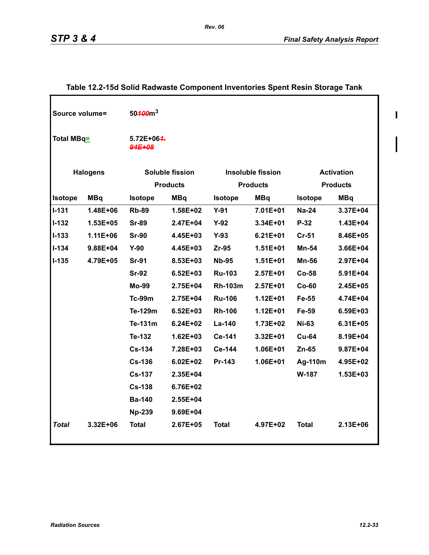| Source volume= |                 | 50 <del>100</del> m <sup>3</sup> |                        |                |                          |                   |                 |
|----------------|-----------------|----------------------------------|------------------------|----------------|--------------------------|-------------------|-----------------|
| Total MBq=     |                 | 5.72E+06 <del>4.</del><br>94E+08 |                        |                |                          |                   |                 |
|                | <b>Halogens</b> |                                  | <b>Soluble fission</b> |                | <b>Insoluble fission</b> | <b>Activation</b> |                 |
|                |                 |                                  | <b>Products</b>        |                | <b>Products</b>          |                   | <b>Products</b> |
| <b>Isotope</b> | <b>MBq</b>      | <b>Isotope</b>                   | <b>MBq</b>             | <b>Isotope</b> | <b>MBq</b>               | <b>Isotope</b>    | <b>MBq</b>      |
| <b>I-131</b>   | 1.48E+06        | <b>Rb-89</b>                     | 1.58E+02               | $Y-91$         | 7.01E+01                 | <b>Na-24</b>      | 3.37E+04        |
| <b>I-132</b>   | 1.53E+05        | <b>Sr-89</b>                     | 2.47E+04               | $Y-92$         | 3.34E+01                 | $P-32$            | 1.43E+04        |
| $1 - 133$      | $1.11E + 06$    | <b>Sr-90</b>                     | 4.45E+03               | $Y-93$         | $6.21E + 01$             | <b>Cr-51</b>      | 8.46E+05        |
| $1 - 134$      | $9.88E + 04$    | $Y-90$                           | 4.45E+03               | $Zr-95$        | $1.51E + 01$             | Mn-54             | $3.66E + 04$    |
| <b>I-135</b>   | 4.79E+05        | <b>Sr-91</b>                     | 8.53E+03               | <b>Nb-95</b>   | $1.51E + 01$             | Mn-56             | $2.97E + 04$    |
|                |                 | <b>Sr-92</b>                     | $6.52E + 03$           | <b>Ru-103</b>  | $2.57E + 01$             | $Co-58$           | 5.91E+04        |
|                |                 | <b>Mo-99</b>                     | 2.75E+04               | <b>Rh-103m</b> | $2.57E+01$               | $Co-60$           | 2.45E+05        |
|                |                 | <b>Tc-99m</b>                    | 2.75E+04               | <b>Ru-106</b>  | $1.12E + 01$             | Fe-55             | 4.74E+04        |
|                |                 | Te-129m                          | $6.52E + 03$           | <b>Rh-106</b>  | $1.12E + 01$             | Fe-59             | 6.59E+03        |
|                |                 | Te-131m                          | $6.24E + 02$           | $La-140$       | 1.73E+02                 | <b>Ni-63</b>      | $6.31E + 05$    |
|                |                 | Te-132                           | $1.62E + 03$           | Ce-141         | 3.32E+01                 | <b>Cu-64</b>      | 8.19E+04        |
|                |                 | <b>Cs-134</b>                    | 7.28E+03               | Ce-144         | 1.06E+01                 | Zn-65             | 9.87E+04        |
|                |                 | <b>Cs-136</b>                    | $6.02E + 02$           | Pr-143         | 1.06E+01                 | Ag-110m           | 4.95E+02        |
|                |                 | <b>Cs-137</b>                    | 2.35E+04               |                |                          | W-187             | 1.53E+03        |
|                |                 | <b>Cs-138</b>                    | 6.76E+02               |                |                          |                   |                 |
|                |                 | <b>Ba-140</b>                    | 2.55E+04               |                |                          |                   |                 |
|                |                 | <b>Np-239</b>                    | 9.69E+04               |                |                          |                   |                 |
| Total          | 3.32E+06        | <b>Total</b>                     | 2.67E+05               | <b>Total</b>   | 4.97E+02                 | <b>Total</b>      | 2.13E+06        |

# **Table 12.2-15d Solid Radwaste Component Inventories Spent Resin Storage Tank**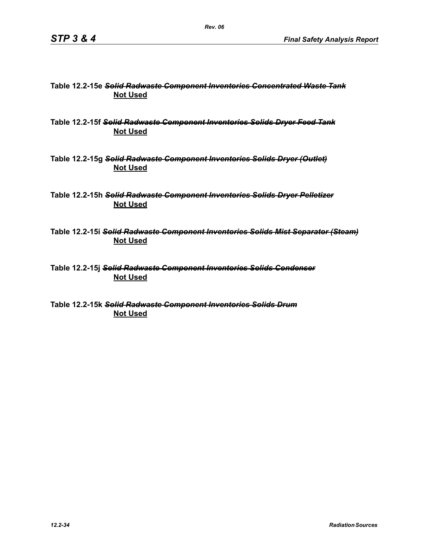#### **Table 12.2-15e** *Solid Radwaste Component Inventories Concentrated Waste Tank* **Not Used**

**Table 12.2-15f** *Solid Radwaste Component Inventories Solids Dryer Feed Tank* **Not Used**

**Table 12.2-15g** *Solid Radwaste Component Inventories Solids Dryer (Outlet)* **Not Used**

**Table 12.2-15h** *Solid Radwaste Component Inventories Solids Dryer Pelletizer* **Not Used**

**Table 12.2-15i** *Solid Radwaste Component Inventories Solids Mist Separator (Steam)* **Not Used**

**Table 12.2-15j** *Solid Radwaste Component Inventories Solids Condenser* **Not Used**

**Table 12.2-15k** *Solid Radwaste Component Inventories Solids Drum* **Not Used**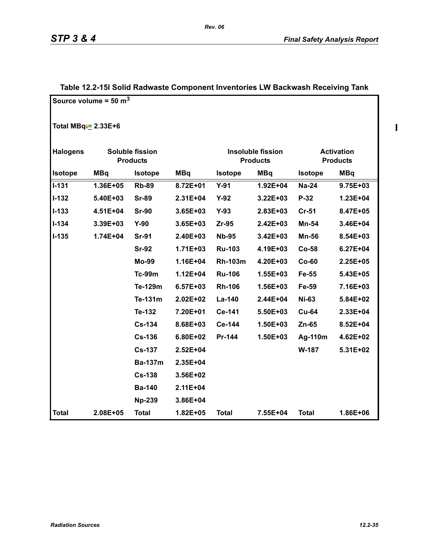$\mathbf{I}$ 

|                          | Source volume = $50 \text{ m}^3$ |                                    |              |                |                                             |                |                                      |
|--------------------------|----------------------------------|------------------------------------|--------------|----------------|---------------------------------------------|----------------|--------------------------------------|
| Total MBq $\div$ 2.33E+6 |                                  |                                    |              |                |                                             |                |                                      |
| <b>Halogens</b>          |                                  | Soluble fission<br><b>Products</b> |              |                | <b>Insoluble fission</b><br><b>Products</b> |                | <b>Activation</b><br><b>Products</b> |
| Isotope                  | <b>MBq</b>                       | <b>Isotope</b>                     | <b>MBq</b>   | <b>Isotope</b> | <b>MBq</b>                                  | <b>Isotope</b> | <b>MBq</b>                           |
| $I - 131$                | 1.36E+05                         | <b>Rb-89</b>                       | 8.72E+01     | $Y-91$         | 1.92E+04                                    | <b>Na-24</b>   | 9.75E+03                             |
| $I-132$                  | 5.40E+03                         | <b>Sr-89</b>                       | $2.31E + 04$ | $Y-92$         | $3.22E + 03$                                | $P-32$         | 1.23E+04                             |
| $I - 133$                | 4.51E+04                         | <b>Sr-90</b>                       | $3.65E + 03$ | $Y-93$         | 2.83E+03                                    | Cr-51          | 8.47E+05                             |
| $I - 134$                | 3.39E+03                         | $Y-90$                             | 3.65E+03     | $Zr-95$        | 2.42E+03                                    | Mn-54          | 3.46E+04                             |
| $I-135$                  | 1.74E+04                         | <b>Sr-91</b>                       | 2.40E+03     | <b>Nb-95</b>   | 3.42E+03                                    | <b>Mn-56</b>   | 8.54E+03                             |
|                          |                                  | <b>Sr-92</b>                       | $1.71E + 03$ | <b>Ru-103</b>  | 4.19E+03                                    | Co-58          | $6.27E + 04$                         |
|                          |                                  | <b>Mo-99</b>                       | 1.16E+04     | <b>Rh-103m</b> | 4.20E+03                                    | $Co-60$        | $2.25E + 05$                         |
|                          |                                  | <b>Tc-99m</b>                      | $1.12E + 04$ | <b>Ru-106</b>  | $1.55E + 03$                                | Fe-55          | 5.43E+05                             |
|                          |                                  | Te-129m                            | $6.57E + 03$ | <b>Rh-106</b>  | 1.56E+03                                    | Fe-59          | 7.16E+03                             |
|                          |                                  | Te-131m                            | $2.02E + 02$ | La-140         | 2.44E+04                                    | <b>Ni-63</b>   | 5.84E+02                             |
|                          |                                  | Te-132                             | 7.20E+01     | Ce-141         | 5.50E+03                                    | <b>Cu-64</b>   | $2.33E + 04$                         |
|                          |                                  | <b>Cs-134</b>                      | 8.68E+03     | Ce-144         | 1.50E+03                                    | Zn-65          | 8.52E+04                             |
|                          |                                  | <b>Cs-136</b>                      | 6.80E+02     | Pr-144         | 1.50E+03                                    | Ag-110m        | 4.62E+02                             |
|                          |                                  | <b>Cs-137</b>                      | $2.52E + 04$ |                |                                             | W-187          | 5.31E+02                             |
|                          |                                  | <b>Ba-137m</b>                     | 2.35E+04     |                |                                             |                |                                      |
|                          |                                  | <b>Cs-138</b>                      | 3.56E+02     |                |                                             |                |                                      |
|                          |                                  | <b>Ba-140</b>                      | 2.11E+04     |                |                                             |                |                                      |
|                          |                                  | <b>Np-239</b>                      | 3.86E+04     |                |                                             |                |                                      |
| <b>Total</b>             | 2.08E+05                         | <b>Total</b>                       | 1.82E+05     | <b>Total</b>   | 7.55E+04                                    | <b>Total</b>   | 1.86E+06                             |

# **Table 12.2-15l Solid Radwaste Component Inventories LW Backwash Receiving Tank**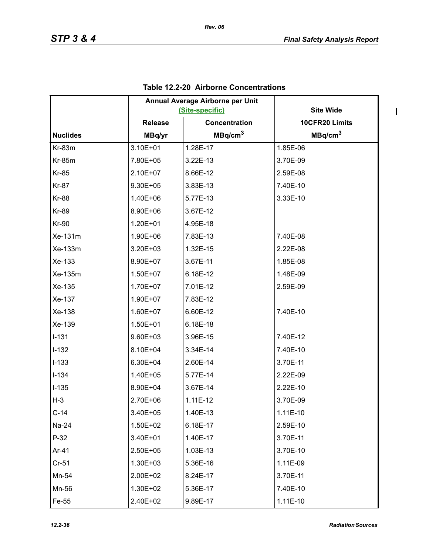|                 |                | Annual Average Airborne per Unit<br>(Site-specific) | <b>Site Wide</b>    |
|-----------------|----------------|-----------------------------------------------------|---------------------|
|                 | <b>Release</b> | Concentration                                       | 10CFR20 Limits      |
| <b>Nuclides</b> | MBq/yr         | MBq/cm <sup>3</sup>                                 | MBq/cm <sup>3</sup> |
| Kr-83m          | 3.10E+01       | 1.28E-17                                            | 1.85E-06            |
| <b>Kr-85m</b>   | 7.80E+05       | 3.22E-13                                            | 3.70E-09            |
| <b>Kr-85</b>    | 2.10E+07       | 8.66E-12                                            | 2.59E-08            |
| <b>Kr-87</b>    | 9.30E+05       | 3.83E-13                                            | 7.40E-10            |
| <b>Kr-88</b>    | 1.40E+06       | 5.77E-13                                            | 3.33E-10            |
| <b>Kr-89</b>    | 8.90E+06       | 3.67E-12                                            |                     |
| <b>Kr-90</b>    | 1.20E+01       | 4.95E-18                                            |                     |
| Xe-131m         | 1.90E+06       | 7.83E-13                                            | 7.40E-08            |
| Xe-133m         | 3.20E+03       | 1.32E-15                                            | 2.22E-08            |
| Xe-133          | 8.90E+07       | 3.67E-11                                            | 1.85E-08            |
| Xe-135m         | 1.50E+07       | 6.18E-12                                            | 1.48E-09            |
| Xe-135          | 1.70E+07       | 7.01E-12                                            | 2.59E-09            |
| Xe-137          | 1.90E+07       | 7.83E-12                                            |                     |
| Xe-138          | 1.60E+07       | 6.60E-12                                            | 7.40E-10            |
| Xe-139          | 1.50E+01       | 6.18E-18                                            |                     |
| $I-131$         | 9.60E+03       | 3.96E-15                                            | 7.40E-12            |
| $I-132$         | 8.10E+04       | 3.34E-14                                            | 7.40E-10            |
| $I-133$         | 6.30E+04       | 2.60E-14                                            | 3.70E-11            |
| $I-134$         | 1.40E+05       | 5.77E-14                                            | 2.22E-09            |
| $I-135$         | 8.90E+04       | 3.67E-14                                            | 2.22E-10            |
| $H-3$           | 2.70E+06       | $1.11E-12$                                          | 3.70E-09            |
| $C-14$          | 3.40E+05       | 1.40E-13                                            | 1.11E-10            |
| Na-24           | 1.50E+02       | 6.18E-17                                            | 2.59E-10            |
| $P-32$          | 3.40E+01       | 1.40E-17                                            | 3.70E-11            |
| Ar-41           | 2.50E+05       | 1.03E-13                                            | 3.70E-10            |
| $Cr-51$         | 1.30E+03       | 5.36E-16                                            | 1.11E-09            |
| Mn-54           | 2.00E+02       | 8.24E-17                                            | 3.70E-11            |
| Mn-56           | 1.30E+02       | 5.36E-17                                            | 7.40E-10            |
| Fe-55           | 2.40E+02       | 9.89E-17                                            | 1.11E-10            |

# **Table 12.2-20 Airborne Concentrations**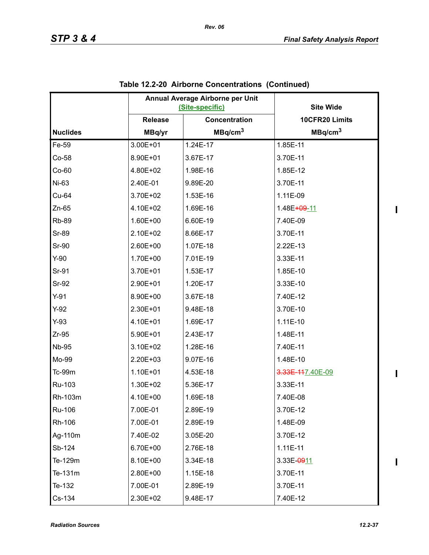|                 |                | Annual Average Airborne per Unit<br>(Site-specific) | <b>Site Wide</b>         |
|-----------------|----------------|-----------------------------------------------------|--------------------------|
|                 | <b>Release</b> | Concentration                                       | 10CFR20 Limits           |
| <b>Nuclides</b> | MBq/yr         | MBq/cm <sup>3</sup>                                 | MBq/cm <sup>3</sup>      |
| Fe-59           | 3.00E+01       | 1.24E-17                                            | 1.85E-11                 |
| $Co-58$         | 8.90E+01       | 3.67E-17                                            | 3.70E-11                 |
| $Co-60$         | 4.80E+02       | 1.98E-16                                            | 1.85E-12                 |
| Ni-63           | 2.40E-01       | 9.89E-20                                            | 3.70E-11                 |
| Cu-64           | 3.70E+02       | 1.53E-16                                            | 1.11E-09                 |
| $Zn-65$         | 4.10E+02       | 1.69E-16                                            | 1.48E <del>+09</del> -11 |
| <b>Rb-89</b>    | 1.60E+00       | 6.60E-19                                            | 7.40E-09                 |
| <b>Sr-89</b>    | 2.10E+02       | 8.66E-17                                            | 3.70E-11                 |
| Sr-90           | 2.60E+00       | 1.07E-18                                            | 2.22E-13                 |
| $Y-90$          | 1.70E+00       | 7.01E-19                                            | 3.33E-11                 |
| Sr-91           | 3.70E+01       | 1.53E-17                                            | 1.85E-10                 |
| Sr-92           | 2.90E+01       | 1.20E-17                                            | 3.33E-10                 |
| $Y-91$          | 8.90E+00       | 3.67E-18                                            | 7.40E-12                 |
| $Y-92$          | 2.30E+01       | 9.48E-18                                            | 3.70E-10                 |
| $Y-93$          | 4.10E+01       | 1.69E-17                                            | 1.11E-10                 |
| $Zr-95$         | 5.90E+01       | 2.43E-17                                            | 1.48E-11                 |
| <b>Nb-95</b>    | 3.10E+02       | 1.28E-16                                            | 7.40E-11                 |
| Mo-99           | 2.20E+03       | 9.07E-16                                            | 1.48E-10                 |
| Tc-99m          | 1.10E+01       | 4.53E-18                                            | 3.33E-117.40E-09         |
| Ru-103          | 1.30E+02       | 5.36E-17                                            | 3.33E-11                 |
| Rh-103m         | 4.10E+00       | 1.69E-18                                            | 7.40E-08                 |
| Ru-106          | 7.00E-01       | 2.89E-19                                            | 3.70E-12                 |
| Rh-106          | 7.00E-01       | 2.89E-19                                            | 1.48E-09                 |
| Ag-110m         | 7.40E-02       | 3.05E-20                                            | 3.70E-12                 |
| Sb-124          | 6.70E+00       | 2.76E-18                                            | $1.11E-11$               |
| Te-129m         | 8.10E+00       | 3.34E-18                                            | 3.33E-0911               |
| Te-131m         | 2.80E+00       | 1.15E-18                                            | 3.70E-11                 |
| Te-132          | 7.00E-01       | 2.89E-19                                            | 3.70E-11                 |
| Cs-134          | 2.30E+02       | 9.48E-17                                            | 7.40E-12                 |

# **Table 12.2-20 Airborne Concentrations (Continued)**

*Rev. 06* 

 $\mathbf I$ 

 $\mathbf{I}$ 

 $\mathbf{I}$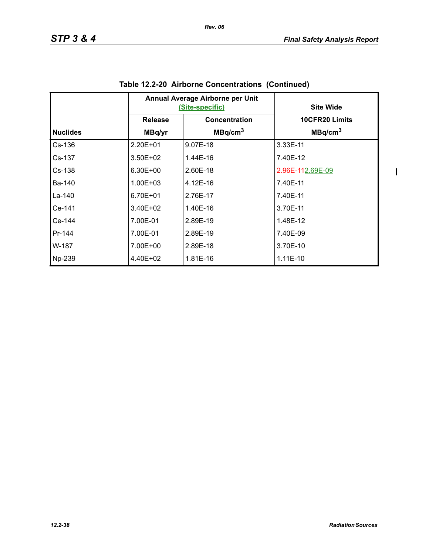$\begin{array}{c} \hline \end{array}$ 

|                 |                | Annual Average Airborne per Unit<br><u>(Site-specific)</u> | <b>Site Wide</b>    |
|-----------------|----------------|------------------------------------------------------------|---------------------|
|                 | <b>Release</b> | Concentration                                              | 10CFR20 Limits      |
| <b>Nuclides</b> | MBq/yr         | MBq/cm <sup>3</sup>                                        | MBq/cm <sup>3</sup> |
| Cs-136          | $2.20E + 01$   | 9.07E-18                                                   | 3.33E-11            |
| Cs-137          | $3.50E + 02$   | 1.44E-16                                                   | 7.40E-12            |
| $Cs-138$        | 6.30E+00       | 2.60E-18                                                   | 2.96E-112.69E-09    |
| Ba-140          | $1.00E + 03$   | 4.12E-16                                                   | 7.40E-11            |
| La-140          | 6.70E+01       | 2.76E-17                                                   | 7.40E-11            |
| Ce-141          | $3.40E + 02$   | 1.40E-16                                                   | 3.70E-11            |
| Ce-144          | 7.00E-01       | 2.89E-19                                                   | 1.48E-12            |
| Pr-144          | 7.00E-01       | 2.89E-19                                                   | 7.40E-09            |
| W-187           | 7.00E+00       | 2.89E-18                                                   | 3.70E-10            |
| Np-239          | 4.40E+02       | 1.81E-16                                                   | $1.11E-10$          |

| Table 12.2-20 Airborne Concentrations (Continued) |
|---------------------------------------------------|
|---------------------------------------------------|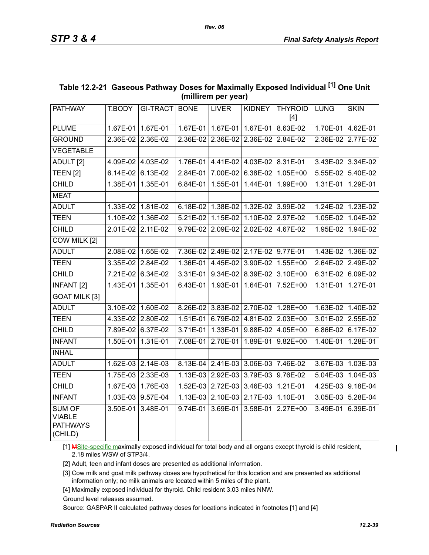| <b>PATHWAY</b>                                               | T.BODY            | <b>GI-TRACT</b>     | <b>BONE</b> | <b>LIVER</b>                        | <b>KIDNEY</b>     | <b>THYROID</b><br>$[4]$             | <b>LUNG</b> | <b>SKIN</b>       |
|--------------------------------------------------------------|-------------------|---------------------|-------------|-------------------------------------|-------------------|-------------------------------------|-------------|-------------------|
| <b>PLUME</b>                                                 |                   | 1.67E-01 1.67E-01   |             | 1.67E-01 1.67E-01                   | 1.67E-01          | 8.63E-02                            |             | 1.70E-01 4.62E-01 |
| <b>GROUND</b>                                                |                   | 2.36E-02 2.36E-02   |             | 2.36E-02 2.36E-02 2.36E-02 2.84E-02 |                   |                                     |             | 2.36E-02 2.77E-02 |
| <b>VEGETABLE</b>                                             |                   |                     |             |                                     |                   |                                     |             |                   |
| ADULT <sub>[2]</sub>                                         |                   | 4.09E-02 4.03E-02   |             | 1.76E-01 4.41E-02 4.03E-02 8.31E-01 |                   |                                     |             | 3.43E-02 3.34E-02 |
| TEEN <sub>[2]</sub>                                          |                   | 6.14E-02 6.13E-02   | 2.84E-01    | 7.00E-02                            | $6.38E-02$        | $1.05E + 00$                        | 5.55E-02    | 5.40E-02          |
| <b>CHILD</b>                                                 |                   | 1.38E-01   1.35E-01 | 6.84E-01    | 1.55E-01                            | $1.44E-01$        | 1.99E+00                            | 1.31E-01    | 1.29E-01          |
| <b>MEAT</b>                                                  |                   |                     |             |                                     |                   |                                     |             |                   |
| <b>ADULT</b>                                                 |                   | 1.33E-02 1.81E-02   | 6.18E-02    | 1.38E-02                            | 1.32E-02 3.99E-02 |                                     | $1.24E-02$  | 1.23E-02          |
| <b>TEEN</b>                                                  | 1.10E-02          | 1.36E-02            | 5.21E-02    | 1.15E-02                            | 1.10E-02          | 2.97E-02                            | 1.05E-02    | 1.04E-02          |
| <b>CHILD</b>                                                 | 2.01E-02 2.11E-02 |                     | 9.79E-02    | 2.09E-02                            | 2.02E-02          | 4.67E-02                            | 1.95E-02    | 1.94E-02          |
| COW MILK [2]                                                 |                   |                     |             |                                     |                   |                                     |             |                   |
| <b>ADULT</b>                                                 |                   | 2.08E-02 1.65E-02   |             | 7.36E-02 2.49E-02 2.17E-02 9.77E-01 |                   |                                     | 1.43E-02    | 1.36E-02          |
| <b>TEEN</b>                                                  |                   | 3.35E-02 2.84E-02   | $1.36E-01$  | 4.45E-02                            | 3.90E-02          | 1.55E+00                            | 2.64E-02    | 2.49E-02          |
| <b>CHILD</b>                                                 |                   | 7.21E-02 6.34E-02   | $3.31E-01$  | $9.34E-02$                          | 8.39E-02          | $3.10E + 00$                        | 6.31E-02    | 6.09E-02          |
| <b>INFANT [2]</b>                                            |                   | 1.43E-01 1.35E-01   | 6.43E-01    |                                     |                   | 1.93E-01   1.64E-01   7.52E+00      | 1.31E-01    | 1.27E-01          |
| <b>GOAT MILK [3]</b>                                         |                   |                     |             |                                     |                   |                                     |             |                   |
| <b>ADULT</b>                                                 |                   | 3.10E-02 1.60E-02   |             |                                     |                   | 8.26E-02 3.83E-02 2.70E-02 1.28E+00 |             | 1.63E-02 1.40E-02 |
| <b>TEEN</b>                                                  | 4.33E-02 2.80E-02 |                     | 1.51E-01    | 6.79E-02                            | $4.81E-02$        | $2.03E+00$                          |             | 3.01E-02 2.55E-02 |
| <b>CHILD</b>                                                 |                   | 7.89E-02 6.37E-02   |             |                                     |                   | 3.71E-01 1.33E-01 9.88E-02 4.05E+00 |             | 6.86E-02 6.17E-02 |
| <b>INFANT</b>                                                |                   | 1.50E-01 1.31E-01   | 7.08E-01    | 2.70E-01                            | 1.89E-01          | $9.82E + 00$                        | 1.40E-01    | 1.28E-01          |
| <b>INHAL</b>                                                 |                   |                     |             |                                     |                   |                                     |             |                   |
| <b>ADULT</b>                                                 |                   | 1.62E-03 2.14E-03   | $8.13E-04$  | 2.41E-03                            | 3.06E-03 7.46E-02 |                                     | 3.67E-03    | 1.03E-03          |
| <b>TEEN</b>                                                  |                   | 1.75E-03 2.33E-03   | $1.13E-03$  | 2.92E-03                            | 3.79E-03          | 9.76E-02                            | 5.04E-03    | 1.04E-03          |
| <b>CHILD</b>                                                 |                   | 1.67E-03 1.76E-03   | $1.52E-03$  | 2.72E-03                            | 3.46E-03          | 1.21E-01                            | 4.25E-03    | 9.18E-04          |
| <b>INFANT</b>                                                |                   | 1.03E-03 9.57E-04   | $1.13E-03$  | 2.10E-03                            | 2.17E-03          | 1.10E-01                            | 3.05E-03    | 5.28E-04          |
| <b>SUM OF</b><br><b>VIABLE</b><br><b>PATHWAYS</b><br>(CHILD) | 3.50E-01          | $3.48E-01$          | 9.74E-01    | 3.69E-01                            | 3.58E-01          | $2.27E+00$                          | 3.49E-01    | $6.39E-01$        |

# **Table 12.2-21 Gaseous Pathway Doses for Maximally Exposed Individual [1] One Unit (millirem per year)**

[1] MSite-specific maximally exposed individual for total body and all organs except thyroid is child resident, 2.18 miles WSW of STP3/4.

[2] Adult, teen and infant doses are presented as additional information.

[3] Cow milk and goat milk pathway doses are hypothetical for this location and are presented as additional information only; no milk animals are located within 5 miles of the plant.

[4] Maximally exposed individual for thyroid. Child resident 3.03 miles NNW.

Ground level releases assumed.

Source: GASPAR II calculated pathway doses for locations indicated in footnotes [1] and [4]

 $\blacksquare$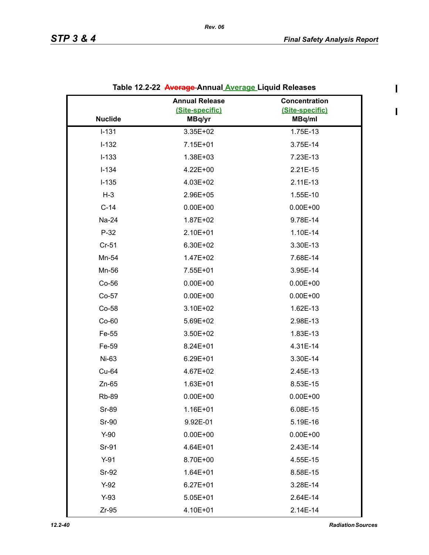$\blacksquare$ 

|                | <b>Annual Release</b> | Concentration   |
|----------------|-----------------------|-----------------|
|                | (Site-specific)       | (Site-specific) |
| <b>Nuclide</b> | MBq/yr                | MBq/ml          |
| $I - 131$      | 3.35E+02              | 1.75E-13        |
| $I-132$        | 7.15E+01              | 3.75E-14        |
| $I-133$        | 1.38E+03              | 7.23E-13        |
| $I - 134$      | 4.22E+00              | 2.21E-15        |
| $I-135$        | 4.03E+02              | 2.11E-13        |
| $H-3$          | 2.96E+05              | 1.55E-10        |
| $C-14$         | $0.00E + 00$          | $0.00E + 00$    |
| Na-24          | 1.87E+02              | 9.78E-14        |
| $P-32$         | 2.10E+01              | 1.10E-14        |
| $Cr-51$        | 6.30E+02              | 3.30E-13        |
| Mn-54          | 1.47E+02              | 7.68E-14        |
| Mn-56          | 7.55E+01              | 3.95E-14        |
| Co-56          | $0.00E + 00$          | $0.00E + 00$    |
| Co-57          | $0.00E + 00$          | $0.00E + 00$    |
| Co-58          | 3.10E+02              | 1.62E-13        |
| $Co-60$        | 5.69E+02              | 2.98E-13        |
| Fe-55          | 3.50E+02              | 1.83E-13        |
| Fe-59          | 8.24E+01              | 4.31E-14        |
| Ni-63          | 6.29E+01              | 3.30E-14        |
| Cu-64          | 4.67E+02              | 2.45E-13        |
| $Zn-65$        | 1.63E+01              | 8.53E-15        |
| <b>Rb-89</b>   | $0.00E + 00$          | $0.00E + 00$    |
| Sr-89          | 1.16E+01              | 6.08E-15        |
| Sr-90          | 9.92E-01              | 5.19E-16        |
| $Y-90$         | $0.00E + 00$          | $0.00E + 00$    |
| Sr-91          | 4.64E+01              | 2.43E-14        |
| $Y-91$         | 8.70E+00              | 4.55E-15        |
| Sr-92          | $1.64E + 01$          | 8.58E-15        |
| $Y-92$         | $6.27E + 01$          | 3.28E-14        |
| $Y-93$         | $5.05E + 01$          | 2.64E-14        |
| $Zr-95$        | 4.10E+01              | 2.14E-14        |

|  | Table 12.2-22 <del>Average </del> Annual <u>Average </u> Liquid Releases |  |  |
|--|--------------------------------------------------------------------------|--|--|
|--|--------------------------------------------------------------------------|--|--|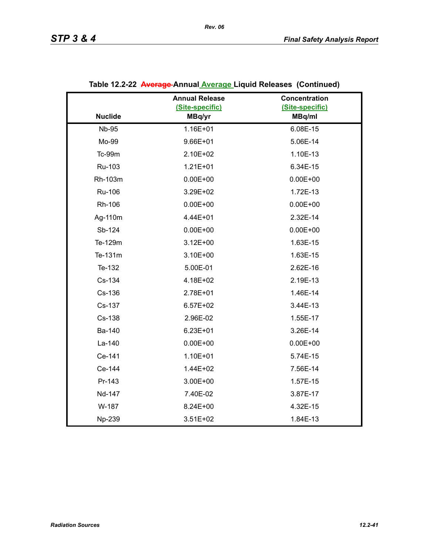|                | <b>Annual Release</b> | Concentration   |
|----------------|-----------------------|-----------------|
| <b>Nuclide</b> | (Site-specific)       | (Site-specific) |
|                | MBq/yr                | MBq/ml          |
| <b>Nb-95</b>   | 1.16E+01              | 6.08E-15        |
| Mo-99          | $9.66E + 01$          | 5.06E-14        |
| <b>Tc-99m</b>  | 2.10E+02              | 1.10E-13        |
| Ru-103         | $1.21E + 01$          | 6.34E-15        |
| Rh-103m        | $0.00E + 00$          | $0.00E + 00$    |
| Ru-106         | 3.29E+02              | 1.72E-13        |
| Rh-106         | $0.00E + 00$          | $0.00E + 00$    |
| Ag-110m        | 4.44E+01              | 2.32E-14        |
| Sb-124         | $0.00E + 00$          | $0.00E + 00$    |
| Te-129m        | $3.12E + 00$          | 1.63E-15        |
| Te-131m        | 3.10E+00              | 1.63E-15        |
| Te-132         | 5.00E-01              | 2.62E-16        |
| Cs-134         | 4.18E+02              | 2.19E-13        |
| Cs-136         | 2.78E+01              | 1.46E-14        |
| Cs-137         | $6.57E+02$            | 3.44E-13        |
| Cs-138         | 2.96E-02              | 1.55E-17        |
| Ba-140         | $6.23E + 01$          | 3.26E-14        |
| La-140         | $0.00E + 00$          | $0.00E + 00$    |
| Ce-141         | 1.10E+01              | 5.74E-15        |
| Ce-144         | 1.44E+02              | 7.56E-14        |
| Pr-143         | 3.00E+00              | 1.57E-15        |
| Nd-147         | 7.40E-02              | 3.87E-17        |
| W-187          | 8.24E+00              | 4.32E-15        |
| Np-239         | $3.51E + 02$          | 1.84E-13        |

# **Table 12.2-22 Average Annual Average Liquid Releases (Continued)**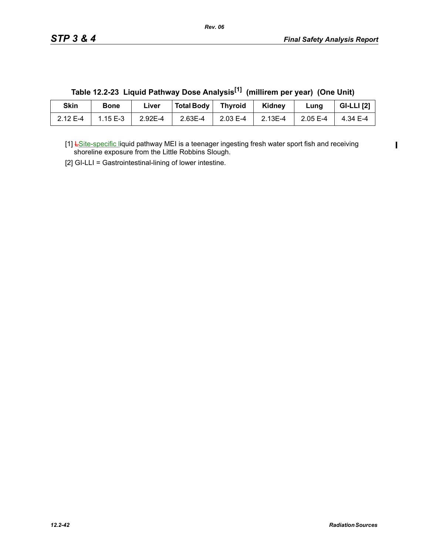$\mathbf I$ 

| Skin     | <b>Bone</b> | ∟iver   | Total Body | <b>Thyroid</b> | Kidney  | Lung        | <b>GI-LLI</b> [2] |
|----------|-------------|---------|------------|----------------|---------|-------------|-------------------|
| 2.12 E-4 | $1.15E - 3$ | 2.92E-4 | $2.63E-4$  | 2.03 E-4       | 2.13E-4 | $2.05E - 4$ | 4.34 E-4          |

**Table 12.2-23 Liquid Pathway Dose Analysis[1] (millirem per year) (One Unit)**

[1] LSite-specific liquid pathway MEI is a teenager ingesting fresh water sport fish and receiving shoreline exposure from the Little Robbins Slough.

[2] GI-LLI = Gastrointestinal-lining of lower intestine.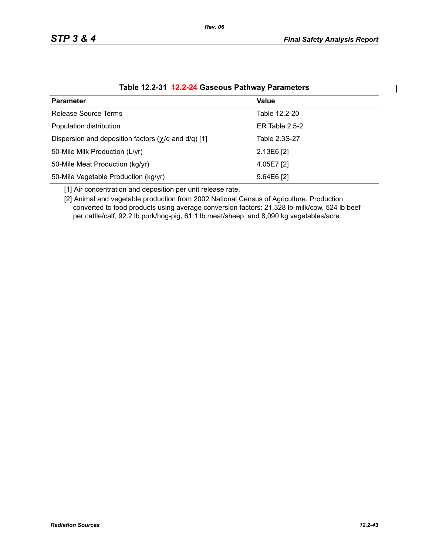$\mathbf{I}$ 

| <b>Parameter</b>                                            | Value            |
|-------------------------------------------------------------|------------------|
| <b>Release Source Terms</b>                                 | Table 12.2-20    |
| Population distribution                                     | ER Table $2.5-2$ |
| Dispersion and deposition factors $(\gamma/q)$ and d/q) [1] | Table 2.3S-27    |
| 50-Mile Milk Production (L/yr)                              | $2.13E6$ [2]     |
| 50-Mile Meat Production (kg/yr)                             | 4.05E7 [2]       |
| 50-Mile Vegetable Production (kg/yr)                        | $9.64E6$ [2]     |

#### **Table 12.2-31 12.2-24 Gaseous Pathway Parameters**

[1] Air concentration and deposition per unit release rate.

[2] Animal and vegetable production from 2002 National Census of Agriculture. Production converted to food products using average conversion factors: 21,328 lb-milk/cow, 524 lb beef per cattle/calf, 92.2 lb pork/hog-pig, 61.1 lb meat/sheep, and 8,090 kg vegetables/acre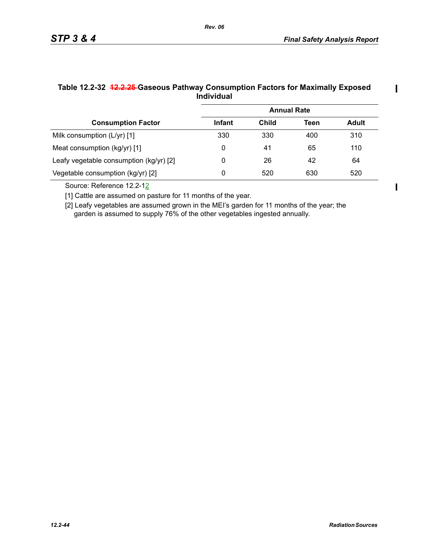$\blacksquare$ 

|                                         | <b>Annual Rate</b> |       |      |              |
|-----------------------------------------|--------------------|-------|------|--------------|
| <b>Consumption Factor</b>               | <b>Infant</b>      | Child | Teen | <b>Adult</b> |
| Milk consumption (L/yr) [1]             | 330                | 330   | 400  | 310          |
| Meat consumption (kg/yr) [1]            | 0                  | 41    | 65   | 110          |
| Leafy vegetable consumption (kg/yr) [2] | 0                  | 26    | 42   | 64           |
| Vegetable consumption (kg/yr) [2]       | 0                  | 520   | 630  | 520          |

#### **Table 12.2-32 12.2.25 Gaseous Pathway Consumption Factors for Maximally Exposed Individual**

*Rev. 06*

Source: Reference 12.2-12

[1] Cattle are assumed on pasture for 11 months of the year.

[2] Leafy vegetables are assumed grown in the MEI's garden for 11 months of the year; the garden is assumed to supply 76% of the other vegetables ingested annually.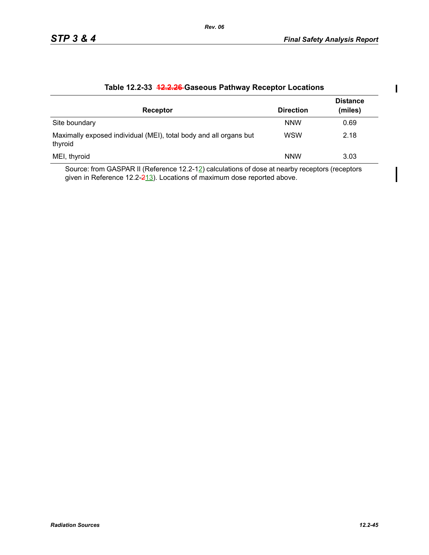| Receptor                                                                     | <b>Direction</b> | <b>Distance</b><br>(miles) |
|------------------------------------------------------------------------------|------------------|----------------------------|
| Site boundary                                                                | <b>NNW</b>       | 0.69                       |
| Maximally exposed individual (MEI), total body and all organs but<br>thyroid | <b>WSW</b>       | 2.18                       |
| MEI, thyroid                                                                 | <b>NNW</b>       | 3.03                       |

#### **Table 12.2-33 12.2.26 Gaseous Pathway Receptor Locations**

Source: from GASPAR II (Reference 12.2-12) calculations of dose at nearby receptors (receptors given in Reference 12.2- $\frac{213}{12}$ . Locations of maximum dose reported above.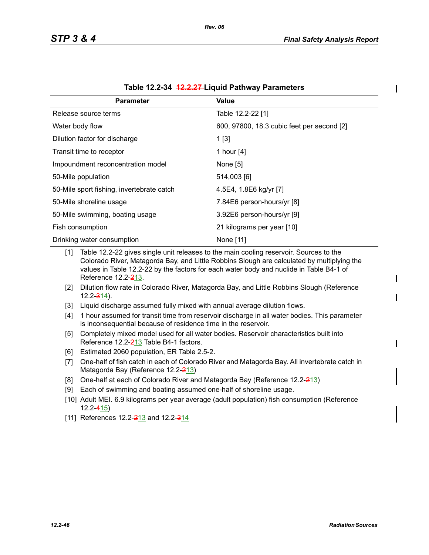$\blacksquare$ 

| <b>Parameter</b>                          | Value                                      |
|-------------------------------------------|--------------------------------------------|
| Release source terms                      | Table 12.2-22 [1]                          |
| Water body flow                           | 600, 97800, 18.3 cubic feet per second [2] |
| Dilution factor for discharge             | 1[3]                                       |
| Transit time to receptor                  | 1 hour [4]                                 |
| Impoundment reconcentration model         | None [5]                                   |
| 50-Mile population                        | 514,003 [6]                                |
| 50-Mile sport fishing, invertebrate catch | 4.5E4, 1.8E6 kg/yr [7]                     |
| 50-Mile shoreline usage                   | 7.84E6 person-hours/yr [8]                 |
| 50-Mile swimming, boating usage           | 3.92E6 person-hours/yr [9]                 |
| Fish consumption                          | 21 kilograms per year [10]                 |
| Drinking water consumption                | None [11]                                  |

|  | Table 12.2-34 <del>12.2.27</del> -Liquid Pathway Parameters |  |  |
|--|-------------------------------------------------------------|--|--|
|--|-------------------------------------------------------------|--|--|

[1] Table 12.2-22 gives single unit releases to the main cooling reservoir. Sources to the Colorado River, Matagorda Bay, and Little Robbins Slough are calculated by multiplying the values in Table 12.2-22 by the factors for each water body and nuclide in Table B4-1 of Reference 12.2-213.

- [2] Dilution flow rate in Colorado River, Matagorda Bay, and Little Robbins Slough (Reference  $12.2 - \frac{314}{9}$ .
- [3] Liquid discharge assumed fully mixed with annual average dilution flows.
- [4] 1 hour assumed for transit time from reservoir discharge in all water bodies. This parameter is inconsequential because of residence time in the reservoir.
- [5] Completely mixed model used for all water bodies. Reservoir characteristics built into Reference 12.2-213 Table B4-1 factors.
- [6] Estimated 2060 population, ER Table 2.5-2.
- [7] One-half of fish catch in each of Colorado River and Matagorda Bay. All invertebrate catch in Matagorda Bay (Reference 12.2-213)
- [8] One-half at each of Colorado River and Matagorda Bay (Reference  $12.2 \frac{213}{2}$ )
- [9] Each of swimming and boating assumed one-half of shoreline usage.
- [10] Adult MEI. 6.9 kilograms per year average (adult population) fish consumption (Reference 12.2-415)
- [11] References 12.2-213 and 12.2-314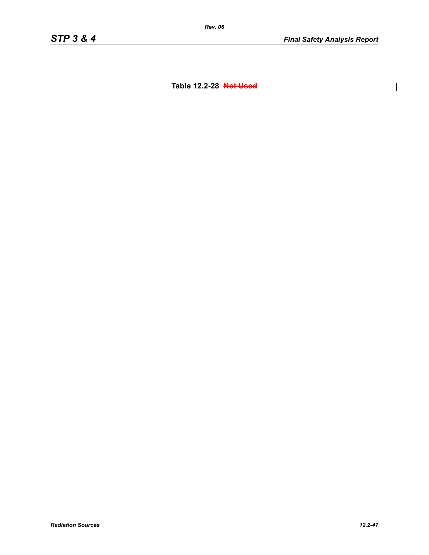$\overline{\mathbf{I}}$ 

**Table 12.2-28 Not Used**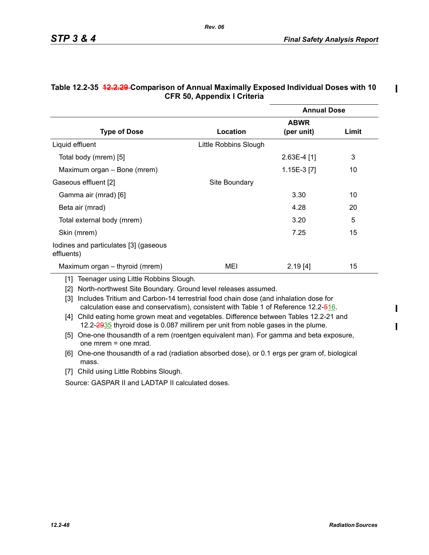$\mathbf I$ 

 $\mathbf I$ 

|                                                     |                       | <b>Annual Dose</b> |       |  |  |  |
|-----------------------------------------------------|-----------------------|--------------------|-------|--|--|--|
|                                                     |                       | <b>ABWR</b>        |       |  |  |  |
| <b>Type of Dose</b>                                 | Location              | (per unit)         | Limit |  |  |  |
| Liquid effluent                                     | Little Robbins Slough |                    |       |  |  |  |
| Total body (mrem) [5]                               |                       | $2.63E-4$ [1]      | 3     |  |  |  |
| Maximum organ – Bone (mrem)                         |                       | $1.15E-3$ [7]      | 10    |  |  |  |
| Gaseous effluent [2]                                | Site Boundary         |                    |       |  |  |  |
| Gamma air (mrad) [6]                                |                       | 3.30               | 10    |  |  |  |
| Beta air (mrad)                                     |                       | 4.28               | 20    |  |  |  |
| Total external body (mrem)                          |                       | 3.20               | 5     |  |  |  |
| Skin (mrem)                                         |                       | 7.25               | 15    |  |  |  |
| lodines and particulates [3] (gaseous<br>effluents) |                       |                    |       |  |  |  |
| Maximum organ – thyroid (mrem)                      | MEI                   | 2.19[4]            | 15    |  |  |  |

#### **Table 12.2-35 12.2.29 Comparison of Annual Maximally Exposed Individual Doses with 10 CFR 50, Appendix I Criteria**

*Rev. 06*

[1] Teenager using Little Robbins Slough.

[2] North-northwest Site Boundary. Ground level releases assumed.

[3] Includes Tritium and Carbon-14 terrestrial food chain dose (and inhalation dose for calculation ease and conservatism), consistent with Table 1 of Reference 12.2-516.

- [4] Child eating home grown meat and vegetables. Difference between Tables 12.2-21 and 12.2-2935 thyroid dose is 0.087 millirem per unit from noble gases in the plume.
- [5] One-one thousandth of a rem (roentgen equivalent man). For gamma and beta exposure, one mrem = one mrad.
- [6] One-one thousandth of a rad (radiation absorbed dose), or 0.1 ergs per gram of, biological mass.
- [7] Child using Little Robbins Slough.

Source: GASPAR II and LADTAP II calculated doses.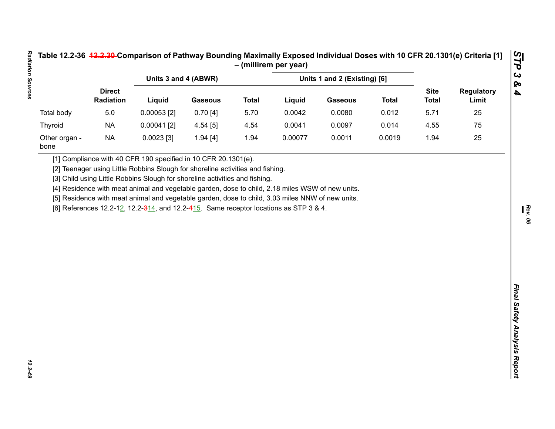| Table 12.2-36 <del>12.2.30-</del> Comparison of Pathway Bounding Maximally Exposed Individual Doses with 10 CFR 20.1301(e) Criteria [1] |  |
|-----------------------------------------------------------------------------------------------------------------------------------------|--|
| – (millirem per year)                                                                                                                   |  |

|                       |                            |                                                                                                                                                                                           |                |                              | - (millirem per year) |                |              |                             |                            |
|-----------------------|----------------------------|-------------------------------------------------------------------------------------------------------------------------------------------------------------------------------------------|----------------|------------------------------|-----------------------|----------------|--------------|-----------------------------|----------------------------|
|                       | <b>Direct</b><br>Radiation | Units 3 and 4 (ABWR)                                                                                                                                                                      |                | Units 1 and 2 (Existing) [6] |                       |                |              |                             |                            |
|                       |                            | Liquid                                                                                                                                                                                    | <b>Gaseous</b> | <b>Total</b>                 | Liquid                | <b>Gaseous</b> | <b>Total</b> | <b>Site</b><br><b>Total</b> | <b>Regulatory</b><br>Limit |
| <b>Total body</b>     | $5.0$                      | $0.00053$ [2]                                                                                                                                                                             | 0.70[4]        | 5.70                         | 0.0042                | 0.0080         | 0.012        | 5.71                        | 25                         |
| Thyroid               | <b>NA</b>                  | $0.00041$ [2]                                                                                                                                                                             | 4.54[5]        | 4.54                         | 0.0041                | 0.0097         | 0.014        | 4.55                        | 75                         |
| Other organ -<br>bone | <b>NA</b>                  | $0.0023$ [3]                                                                                                                                                                              | 1.94[4]        | 1.94                         | 0.00077               | 0.0011         | 0.0019       | 1.94                        | 25                         |
|                       |                            | [5] Residence with meat animal and vegetable garden, dose to child, 3.03 miles NNW of new units.<br>[6] References 12.2-12, 12.2-314, and 12.2-415. Same receptor locations as STP 3 & 4. |                |                              |                       |                |              |                             |                            |